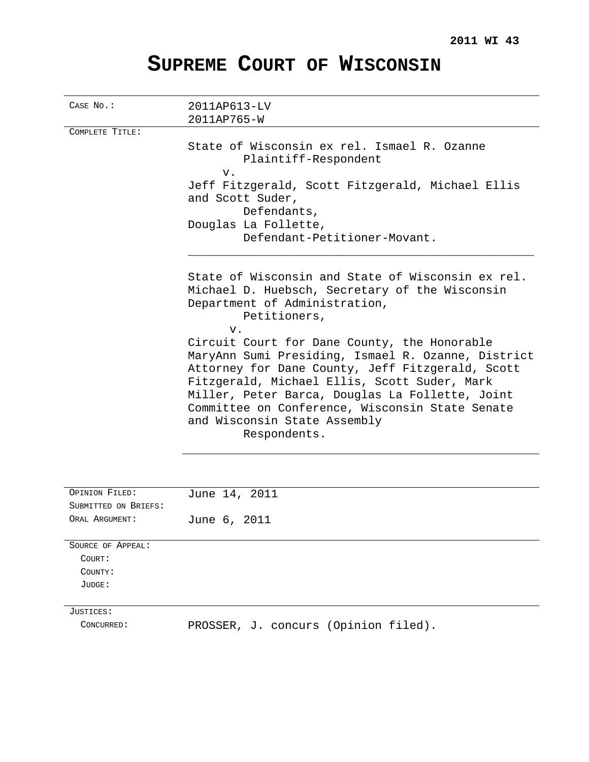# **SUPREME COURT OF WISCONSIN**

| CASE No.:            | 2011AP613-LV                                                                                                                                                                                                                                                                                                 |
|----------------------|--------------------------------------------------------------------------------------------------------------------------------------------------------------------------------------------------------------------------------------------------------------------------------------------------------------|
|                      | 2011AP765-W                                                                                                                                                                                                                                                                                                  |
| COMPLETE TITLE:      |                                                                                                                                                                                                                                                                                                              |
|                      | State of Wisconsin ex rel. Ismael R. Ozanne                                                                                                                                                                                                                                                                  |
|                      | Plaintiff-Respondent                                                                                                                                                                                                                                                                                         |
|                      | v.                                                                                                                                                                                                                                                                                                           |
|                      | Jeff Fitzgerald, Scott Fitzgerald, Michael Ellis                                                                                                                                                                                                                                                             |
|                      | and Scott Suder,                                                                                                                                                                                                                                                                                             |
|                      | Defendants,                                                                                                                                                                                                                                                                                                  |
|                      | Douglas La Follette,                                                                                                                                                                                                                                                                                         |
|                      | Defendant-Petitioner-Movant.                                                                                                                                                                                                                                                                                 |
|                      | State of Wisconsin and State of Wisconsin ex rel.<br>Michael D. Huebsch, Secretary of the Wisconsin                                                                                                                                                                                                          |
|                      | Department of Administration,<br>Petitioners,                                                                                                                                                                                                                                                                |
|                      | v.<br>Circuit Court for Dane County, the Honorable                                                                                                                                                                                                                                                           |
|                      | MaryAnn Sumi Presiding, Ismael R. Ozanne, District<br>Attorney for Dane County, Jeff Fitzgerald, Scott<br>Fitzgerald, Michael Ellis, Scott Suder, Mark<br>Miller, Peter Barca, Douglas La Follette, Joint<br>Committee on Conference, Wisconsin State Senate<br>and Wisconsin State Assembly<br>Respondents. |
|                      |                                                                                                                                                                                                                                                                                                              |
| OPINION FILED:       | June 14, 2011                                                                                                                                                                                                                                                                                                |
| SUBMITTED ON BRIEFS: |                                                                                                                                                                                                                                                                                                              |
| ORAL ARGUMENT:       | 2011<br>June $6,$                                                                                                                                                                                                                                                                                            |
| SOURCE OF APPEAL:    |                                                                                                                                                                                                                                                                                                              |
| COURT:               |                                                                                                                                                                                                                                                                                                              |
| COUNTY:              |                                                                                                                                                                                                                                                                                                              |
| JUDGE:               |                                                                                                                                                                                                                                                                                                              |
| JUSTICES:            |                                                                                                                                                                                                                                                                                                              |

CONCURRED: PROSSER, J. concurs (Opinion filed).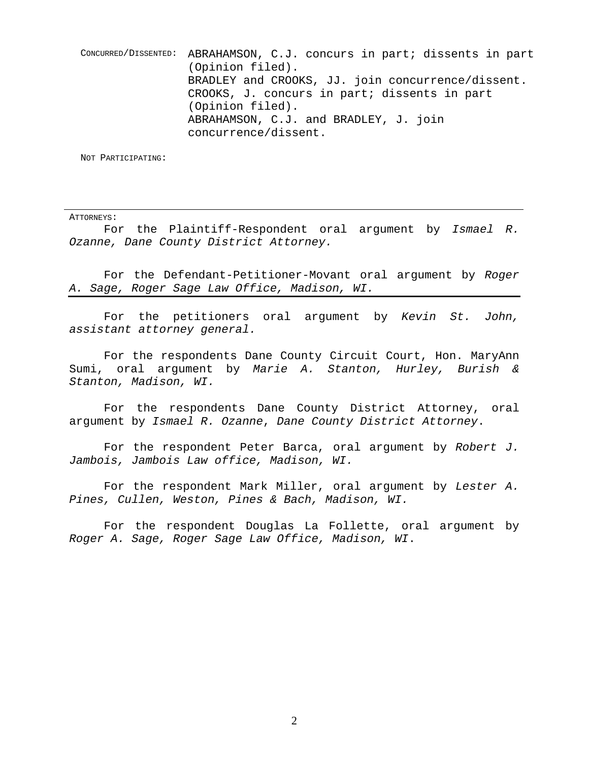CONCURRED/DISSENTED: ABRAHAMSON, C.J. concurs in part; dissents in part (Opinion filed). BRADLEY and CROOKS, JJ. join concurrence/dissent. CROOKS, J. concurs in part; dissents in part (Opinion filed). ABRAHAMSON, C.J. and BRADLEY, J. join concurrence/dissent.

NOT PARTICIPATING:

ATTORNEYS:

For the Plaintiff-Respondent oral argument by Ismael R. Ozanne, Dane County District Attorney.

For the Defendant-Petitioner-Movant oral argument by Roger A. Sage, Roger Sage Law Office, Madison, WI.

For the petitioners oral argument by Kevin St. John, assistant attorney general.

For the respondents Dane County Circuit Court, Hon. MaryAnn Sumi, oral argument by Marie A. Stanton, Hurley, Burish & Stanton, Madison, WI.

For the respondents Dane County District Attorney, oral argument by Ismael R. Ozanne, Dane County District Attorney.

For the respondent Peter Barca, oral argument by Robert  $J$ . Jambois, Jambois Law office, Madison, WI.

For the respondent Mark Miller, oral argument by Lester A. Pines, Cullen, Weston, Pines & Bach, Madison, WI.

For the respondent Douglas La Follette, oral argument by Roger A. Sage, Roger Sage Law Office, Madison, WI.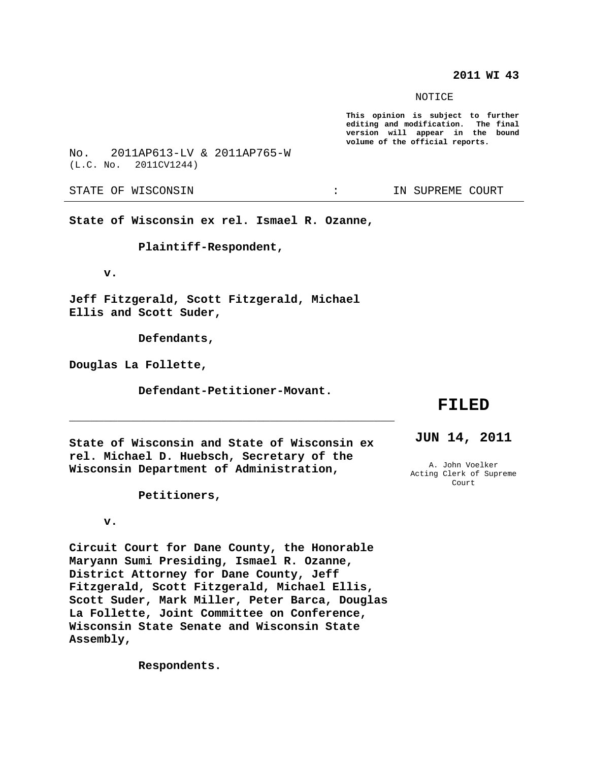**2011 WI 43**

NOTICE

**This opinion is subject to further editing and modification. The final version will appear in the bound volume of the official reports.**

No. 2011AP613-LV & 2011AP765-W (L.C. No. 2011CV1244)

STATE OF WISCONSIN THE RESERVE STATE OF WISCONSIN

**State of Wisconsin ex rel. Ismael R. Ozanne,**

**Plaintiff-Respondent,**

**v.**

**Jeff Fitzgerald, Scott Fitzgerald, Michael Ellis and Scott Suder,**

**Defendants,**

**Douglas La Follette,**

**Defendant-Petitioner-Movant.**

**\_\_\_\_\_\_\_\_\_\_\_\_\_\_\_\_\_\_\_\_\_\_\_\_\_\_\_\_\_\_\_\_\_\_\_\_\_\_\_\_\_\_\_\_\_\_\_**

## **FILED**

**JUN 14, 2011**

**State of Wisconsin and State of Wisconsin ex rel. Michael D. Huebsch, Secretary of the Wisconsin Department of Administration,**

A. John Voelker Acting Clerk of Supreme Court

**Petitioners,**

## **v.**

**Circuit Court for Dane County, the Honorable Maryann Sumi Presiding, Ismael R. Ozanne, District Attorney for Dane County, Jeff Fitzgerald, Scott Fitzgerald, Michael Ellis, Scott Suder, Mark Miller, Peter Barca, Douglas La Follette, Joint Committee on Conference, Wisconsin State Senate and Wisconsin State Assembly,**

**Respondents.**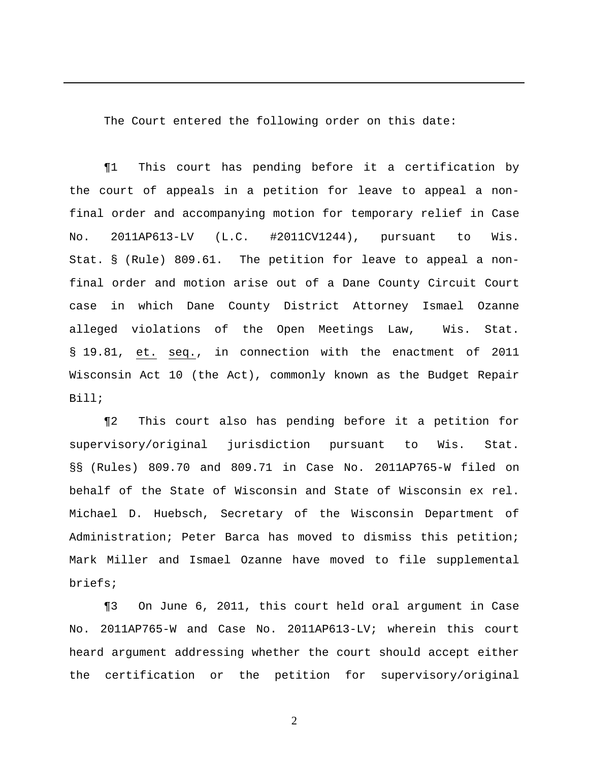The Court entered the following order on this date:

¶1 This court has pending before it a certification by the court of appeals in a petition for leave to appeal a nonfinal order and accompanying motion for temporary relief in Case No. 2011AP613-LV (L.C. #2011CV1244), pursuant to Wis. Stat. § (Rule) 809.61. The petition for leave to appeal a nonfinal order and motion arise out of a Dane County Circuit Court case in which Dane County District Attorney Ismael Ozanne alleged violations of the Open Meetings Law, Wis. Stat. § 19.81, et. seq., in connection with the enactment of 2011 Wisconsin Act 10 (the Act), commonly known as the Budget Repair Bill;

¶2 This court also has pending before it a petition for supervisory/original jurisdiction pursuant to Wis. Stat. §§ (Rules) 809.70 and 809.71 in Case No. 2011AP765-W filed on behalf of the State of Wisconsin and State of Wisconsin ex rel. Michael D. Huebsch, Secretary of the Wisconsin Department of Administration; Peter Barca has moved to dismiss this petition; Mark Miller and Ismael Ozanne have moved to file supplemental briefs;

¶3 On June 6, 2011, this court held oral argument in Case No. 2011AP765-W and Case No. 2011AP613-LV; wherein this court heard argument addressing whether the court should accept either the certification or the petition for supervisory/original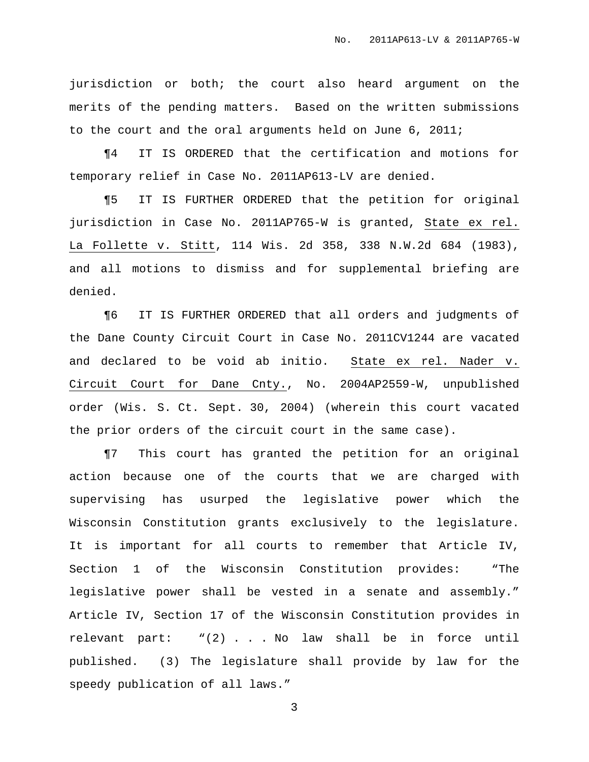jurisdiction or both; the court also heard argument on the merits of the pending matters. Based on the written submissions to the court and the oral arguments held on June 6, 2011;

¶4 IT IS ORDERED that the certification and motions for temporary relief in Case No. 2011AP613-LV are denied.

¶5 IT IS FURTHER ORDERED that the petition for original jurisdiction in Case No. 2011AP765-W is granted, State ex rel. La Follette v. Stitt, 114 Wis. 2d 358, 338 N.W.2d 684 (1983), and all motions to dismiss and for supplemental briefing are denied.

¶6 IT IS FURTHER ORDERED that all orders and judgments of the Dane County Circuit Court in Case No. 2011CV1244 are vacated and declared to be void ab initio. State ex rel. Nader v. Circuit Court for Dane Cnty., No. 2004AP2559-W, unpublished order (Wis. S. Ct. Sept. 30, 2004) (wherein this court vacated the prior orders of the circuit court in the same case).

¶7 This court has granted the petition for an original action because one of the courts that we are charged with supervising has usurped the legislative power which the Wisconsin Constitution grants exclusively to the legislature. It is important for all courts to remember that Article IV, Section 1 of the Wisconsin Constitution provides: "The legislative power shall be vested in a senate and assembly." Article IV, Section 17 of the Wisconsin Constitution provides in relevant part: "(2) . . . No law shall be in force until published. (3) The legislature shall provide by law for the speedy publication of all laws."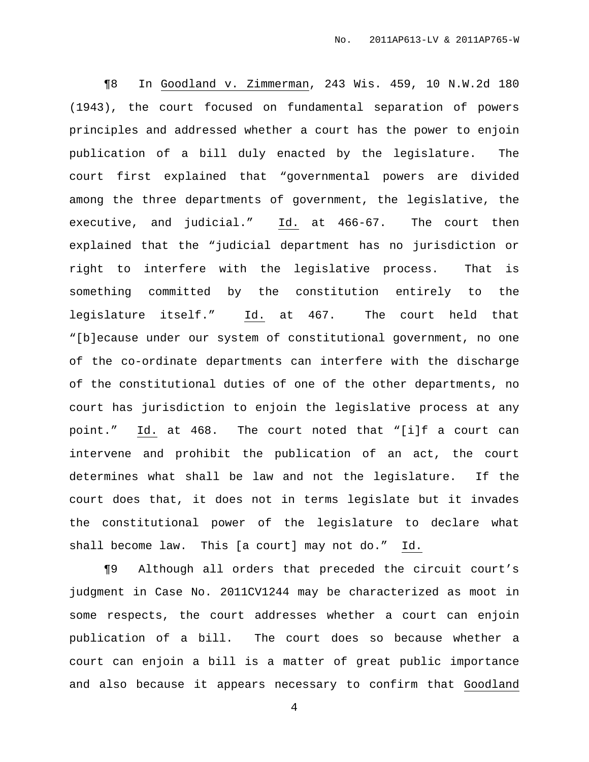¶8 In Goodland v. Zimmerman, 243 Wis. 459, 10 N.W.2d 180 (1943), the court focused on fundamental separation of powers principles and addressed whether a court has the power to enjoin publication of a bill duly enacted by the legislature. The court first explained that "governmental powers are divided among the three departments of government, the legislative, the executive, and judicial." Id. at 466-67. The court then explained that the "judicial department has no jurisdiction or right to interfere with the legislative process. That is something committed by the constitution entirely to the legislature itself." Id. at 467. The court held that "[b]ecause under our system of constitutional government, no one of the co-ordinate departments can interfere with the discharge of the constitutional duties of one of the other departments, no court has jurisdiction to enjoin the legislative process at any point." Id. at 468. The court noted that "[i]f a court can intervene and prohibit the publication of an act, the court determines what shall be law and not the legislature. If the court does that, it does not in terms legislate but it invades the constitutional power of the legislature to declare what shall become law. This [a court] may not do." Id.

¶9 Although all orders that preceded the circuit court's judgment in Case No. 2011CV1244 may be characterized as moot in some respects, the court addresses whether a court can enjoin publication of a bill. The court does so because whether a court can enjoin a bill is a matter of great public importance and also because it appears necessary to confirm that Goodland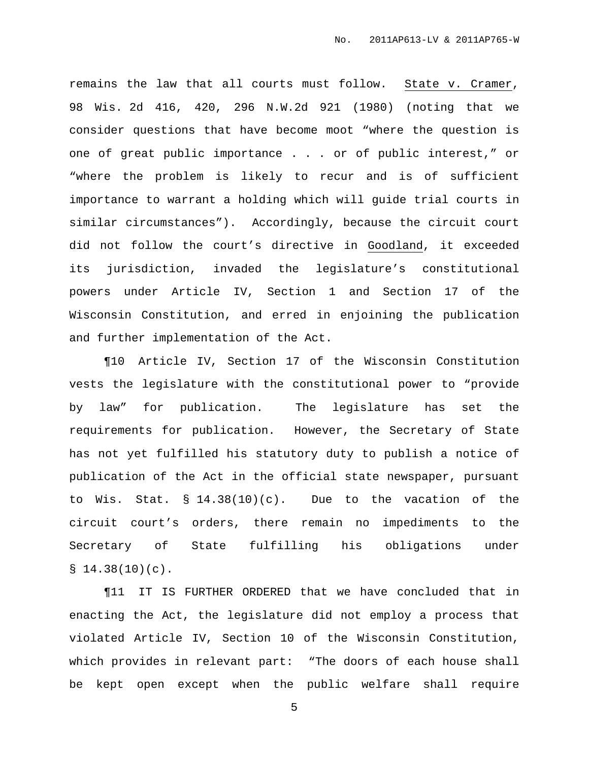remains the law that all courts must follow. State v. Cramer, 98 Wis. 2d 416, 420, 296 N.W.2d 921 (1980) (noting that we consider questions that have become moot "where the question is one of great public importance . . . or of public interest," or "where the problem is likely to recur and is of sufficient importance to warrant a holding which will guide trial courts in similar circumstances"). Accordingly, because the circuit court did not follow the court's directive in Goodland, it exceeded its jurisdiction, invaded the legislature's constitutional powers under Article IV, Section 1 and Section 17 of the Wisconsin Constitution, and erred in enjoining the publication and further implementation of the Act.

¶10 Article IV, Section 17 of the Wisconsin Constitution vests the legislature with the constitutional power to "provide by law" for publication. The legislature has set the requirements for publication. However, the Secretary of State has not yet fulfilled his statutory duty to publish a notice of publication of the Act in the official state newspaper, pursuant to Wis. Stat. § 14.38(10)(c). Due to the vacation of the circuit court's orders, there remain no impediments to the Secretary of State fulfilling his obligations under  $$14.38(10)(c)$ .

¶11 IT IS FURTHER ORDERED that we have concluded that in enacting the Act, the legislature did not employ a process that violated Article IV, Section 10 of the Wisconsin Constitution, which provides in relevant part: "The doors of each house shall be kept open except when the public welfare shall require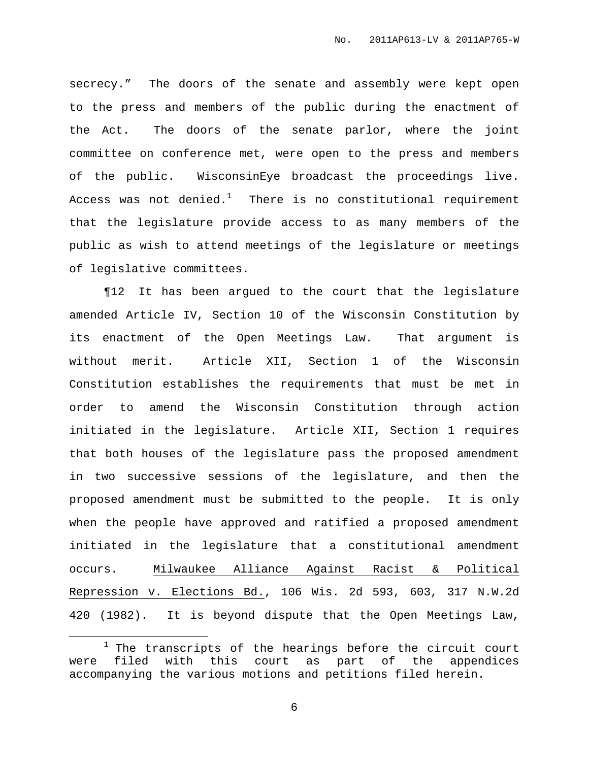secrecy." The doors of the senate and assembly were kept open to the press and members of the public during the enactment of the Act. The doors of the senate parlor, where the joint committee on conference met, were open to the press and members of the public. WisconsinEye broadcast the proceedings live. Access was not denied. $^1$  - There is no constitutional requirement that the legislature provide access to as many members of the public as wish to attend meetings of the legislature or meetings of legislative committees.

¶12 It has been argued to the court that the legislature amended Article IV, Section 10 of the Wisconsin Constitution by its enactment of the Open Meetings Law. That argument is without merit. Article XII, Section 1 of the Wisconsin Constitution establishes the requirements that must be met in order to amend the Wisconsin Constitution through action initiated in the legislature. Article XII, Section 1 requires that both houses of the legislature pass the proposed amendment in two successive sessions of the legislature, and then the proposed amendment must be submitted to the people. It is only when the people have approved and ratified a proposed amendment initiated in the legislature that a constitutional amendment occurs. Milwaukee Alliance Against Racist & Political Repression v. Elections Bd., 106 Wis. 2d 593, 603, 317 N.W.2d 420 (1982). It is beyond dispute that the Open Meetings Law,

 $1$  The transcripts of the hearings before the circuit court were filed with this court as part of the appendices accompanying the various motions and petitions filed herein.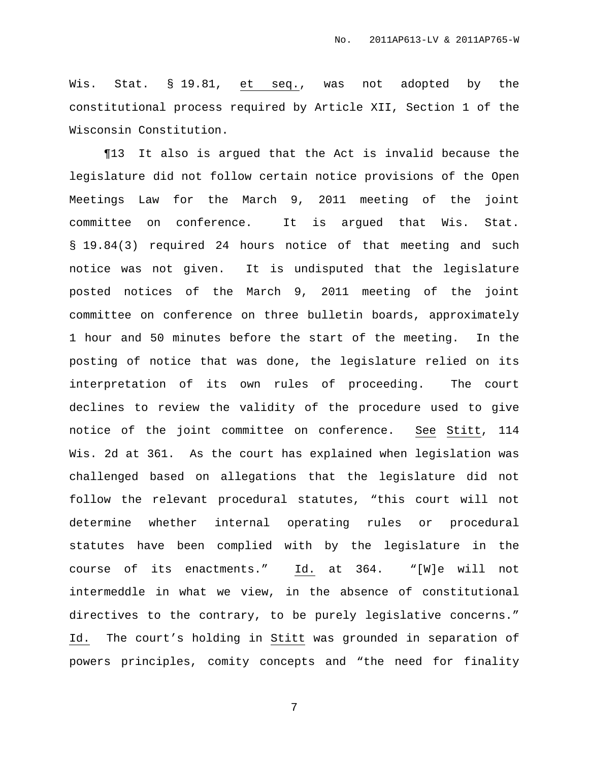Wis. Stat. § 19.81, et seq., was not adopted by the constitutional process required by Article XII, Section 1 of the Wisconsin Constitution.

¶13 It also is argued that the Act is invalid because the legislature did not follow certain notice provisions of the Open Meetings Law for the March 9, 2011 meeting of the joint committee on conference. It is argued that Wis. Stat. § 19.84(3) required 24 hours notice of that meeting and such notice was not given. It is undisputed that the legislature posted notices of the March 9, 2011 meeting of the joint committee on conference on three bulletin boards, approximately 1 hour and 50 minutes before the start of the meeting. In the posting of notice that was done, the legislature relied on its interpretation of its own rules of proceeding. The court declines to review the validity of the procedure used to give notice of the joint committee on conference. See Stitt, 114 Wis. 2d at 361. As the court has explained when legislation was challenged based on allegations that the legislature did not follow the relevant procedural statutes, "this court will not determine whether internal operating rules or procedural statutes have been complied with by the legislature in the course of its enactments." Id. at 364. "[W]e will not intermeddle in what we view, in the absence of constitutional directives to the contrary, to be purely legislative concerns." Id. The court's holding in Stitt was grounded in separation of powers principles, comity concepts and "the need for finality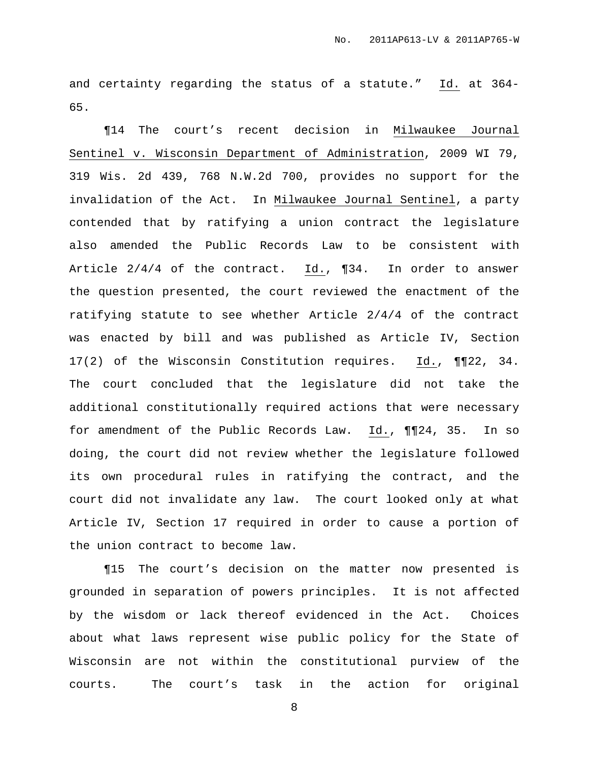and certainty regarding the status of a statute." Id. at 364- 65.

¶14 The court's recent decision in Milwaukee Journal Sentinel v. Wisconsin Department of Administration, 2009 WI 79, 319 Wis. 2d 439, 768 N.W.2d 700, provides no support for the invalidation of the Act. In Milwaukee Journal Sentinel, a party contended that by ratifying a union contract the legislature also amended the Public Records Law to be consistent with Article 2/4/4 of the contract. Id., ¶34. In order to answer the question presented, the court reviewed the enactment of the ratifying statute to see whether Article 2/4/4 of the contract was enacted by bill and was published as Article IV, Section 17(2) of the Wisconsin Constitution requires. Id., ¶¶22, 34. The court concluded that the legislature did not take the additional constitutionally required actions that were necessary for amendment of the Public Records Law. Id., ¶¶24, 35. In so doing, the court did not review whether the legislature followed its own procedural rules in ratifying the contract, and the court did not invalidate any law. The court looked only at what Article IV, Section 17 required in order to cause a portion of the union contract to become law.

¶15 The court's decision on the matter now presented is grounded in separation of powers principles. It is not affected by the wisdom or lack thereof evidenced in the Act. Choices about what laws represent wise public policy for the State of Wisconsin are not within the constitutional purview of the courts. The court's task in the action for original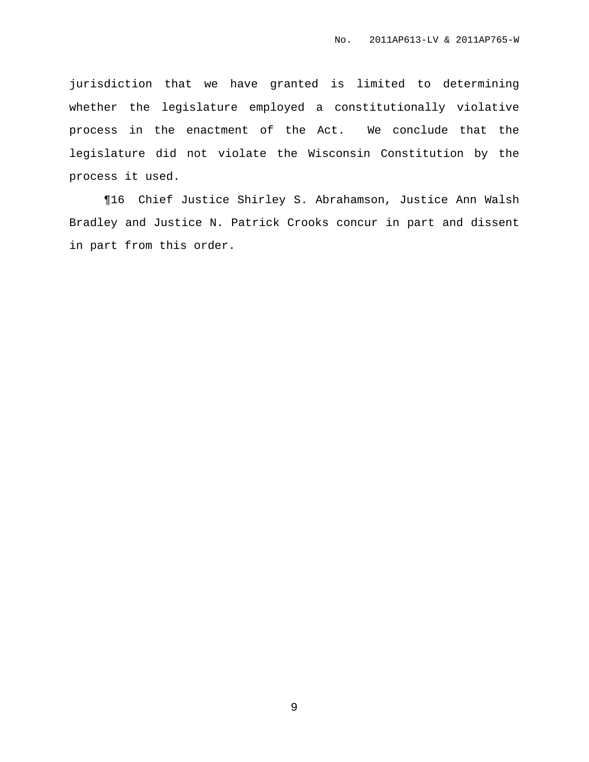jurisdiction that we have granted is limited to determining whether the legislature employed a constitutionally violative process in the enactment of the Act. We conclude that the legislature did not violate the Wisconsin Constitution by the process it used.

¶16 Chief Justice Shirley S. Abrahamson, Justice Ann Walsh Bradley and Justice N. Patrick Crooks concur in part and dissent in part from this order.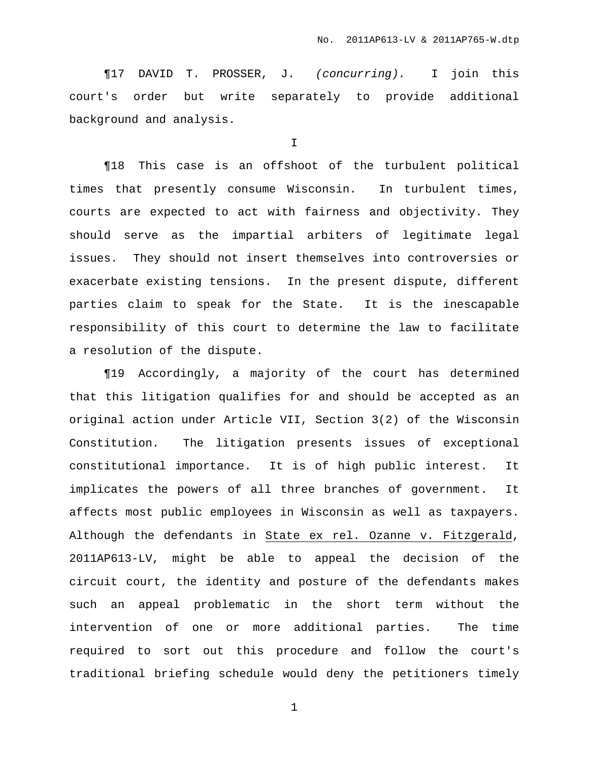¶17 DAVID T. PROSSER, J. (concurring). I join this court's order but write separately to provide additional background and analysis.

I

¶18 This case is an offshoot of the turbulent political times that presently consume Wisconsin. In turbulent times, courts are expected to act with fairness and objectivity. They should serve as the impartial arbiters of legitimate legal issues. They should not insert themselves into controversies or exacerbate existing tensions. In the present dispute, different parties claim to speak for the State. It is the inescapable responsibility of this court to determine the law to facilitate a resolution of the dispute.

¶19 Accordingly, a majority of the court has determined that this litigation qualifies for and should be accepted as an original action under Article VII, Section 3(2) of the Wisconsin Constitution. The litigation presents issues of exceptional constitutional importance. It is of high public interest. It implicates the powers of all three branches of government. It affects most public employees in Wisconsin as well as taxpayers. Although the defendants in State ex rel. Ozanne v. Fitzgerald, 2011AP613-LV, might be able to appeal the decision of the circuit court, the identity and posture of the defendants makes such an appeal problematic in the short term without the intervention of one or more additional parties. The time required to sort out this procedure and follow the court's traditional briefing schedule would deny the petitioners timely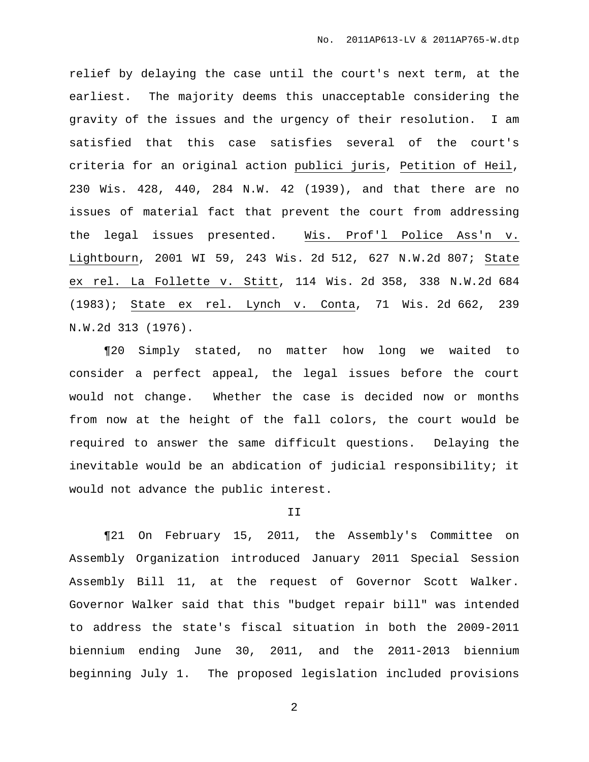relief by delaying the case until the court's next term, at the earliest. The majority deems this unacceptable considering the gravity of the issues and the urgency of their resolution. I am satisfied that this case satisfies several of the court's criteria for an original action publici juris, Petition of Heil, 230 Wis. 428, 440, 284 N.W. 42 (1939), and that there are no issues of material fact that prevent the court from addressing the legal issues presented. Wis. Prof'l Police Ass'n v. Lightbourn, 2001 WI 59, 243 Wis. 2d 512, 627 N.W.2d 807; State ex rel. La Follette v. Stitt, 114 Wis. 2d 358, 338 N.W.2d 684 (1983); State ex rel. Lynch v. Conta, 71 Wis. 2d 662, 239 N.W.2d 313 (1976).

¶20 Simply stated, no matter how long we waited to consider a perfect appeal, the legal issues before the court would not change. Whether the case is decided now or months from now at the height of the fall colors, the court would be required to answer the same difficult questions. Delaying the inevitable would be an abdication of judicial responsibility; it would not advance the public interest.

### II

¶21 On February 15, 2011, the Assembly's Committee on Assembly Organization introduced January 2011 Special Session Assembly Bill 11, at the request of Governor Scott Walker. Governor Walker said that this "budget repair bill" was intended to address the state's fiscal situation in both the 2009-2011 biennium ending June 30, 2011, and the 2011-2013 biennium beginning July 1. The proposed legislation included provisions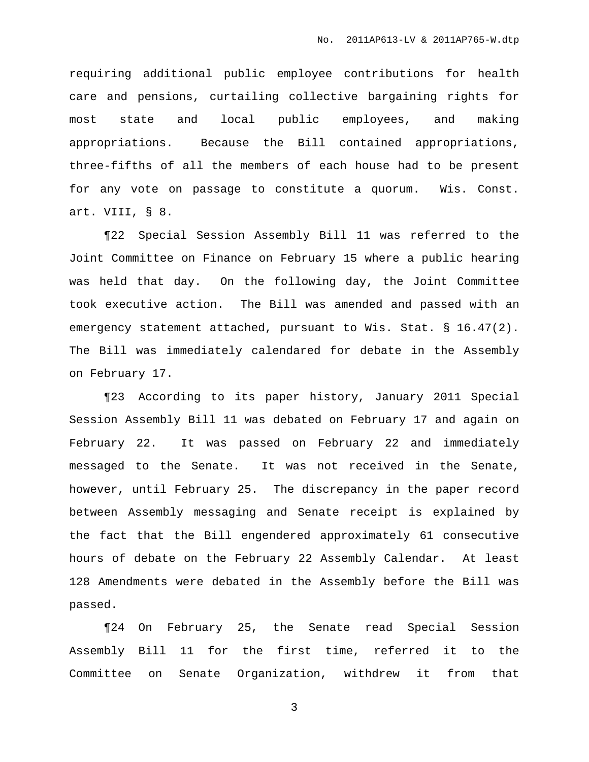requiring additional public employee contributions for health care and pensions, curtailing collective bargaining rights for most state and local public employees, and making appropriations. Because the Bill contained appropriations, three-fifths of all the members of each house had to be present for any vote on passage to constitute a quorum. Wis. Const. art. VIII, § 8.

¶22 Special Session Assembly Bill 11 was referred to the Joint Committee on Finance on February 15 where a public hearing was held that day. On the following day, the Joint Committee took executive action. The Bill was amended and passed with an emergency statement attached, pursuant to Wis. Stat. § 16.47(2). The Bill was immediately calendared for debate in the Assembly on February 17.

¶23 According to its paper history, January 2011 Special Session Assembly Bill 11 was debated on February 17 and again on February 22. It was passed on February 22 and immediately messaged to the Senate. It was not received in the Senate, however, until February 25. The discrepancy in the paper record between Assembly messaging and Senate receipt is explained by the fact that the Bill engendered approximately 61 consecutive hours of debate on the February 22 Assembly Calendar. At least 128 Amendments were debated in the Assembly before the Bill was passed.

¶24 On February 25, the Senate read Special Session Assembly Bill 11 for the first time, referred it to the Committee on Senate Organization, withdrew it from that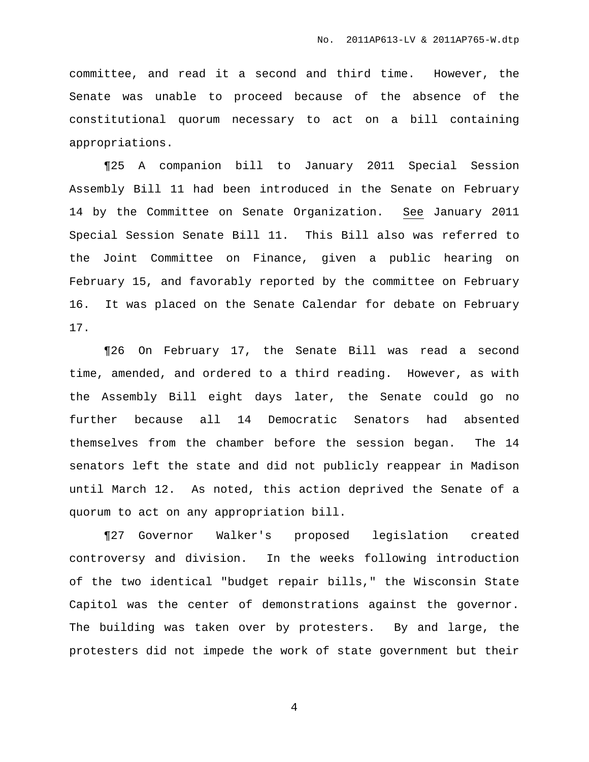committee, and read it a second and third time. However, the Senate was unable to proceed because of the absence of the constitutional quorum necessary to act on a bill containing appropriations.

¶25 A companion bill to January 2011 Special Session Assembly Bill 11 had been introduced in the Senate on February 14 by the Committee on Senate Organization. See January 2011 Special Session Senate Bill 11. This Bill also was referred to the Joint Committee on Finance, given a public hearing on February 15, and favorably reported by the committee on February 16. It was placed on the Senate Calendar for debate on February 17.

¶26 On February 17, the Senate Bill was read a second time, amended, and ordered to a third reading. However, as with the Assembly Bill eight days later, the Senate could go no further because all 14 Democratic Senators had absented themselves from the chamber before the session began. The 14 senators left the state and did not publicly reappear in Madison until March 12. As noted, this action deprived the Senate of a quorum to act on any appropriation bill.

¶27 Governor Walker's proposed legislation created controversy and division. In the weeks following introduction of the two identical "budget repair bills," the Wisconsin State Capitol was the center of demonstrations against the governor. The building was taken over by protesters. By and large, the protesters did not impede the work of state government but their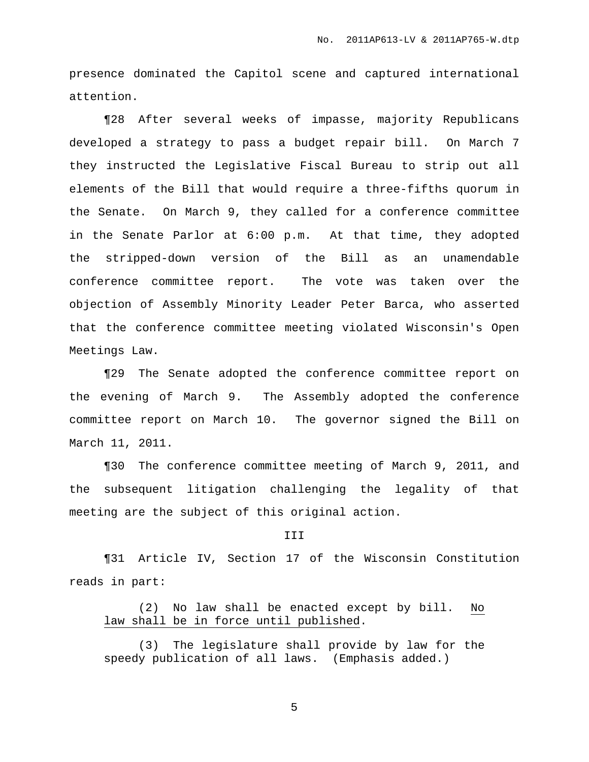presence dominated the Capitol scene and captured international attention.

¶28 After several weeks of impasse, majority Republicans developed a strategy to pass a budget repair bill. On March 7 they instructed the Legislative Fiscal Bureau to strip out all elements of the Bill that would require a three-fifths quorum in the Senate. On March 9, they called for a conference committee in the Senate Parlor at 6:00 p.m. At that time, they adopted the stripped-down version of the Bill as an unamendable conference committee report. The vote was taken over the objection of Assembly Minority Leader Peter Barca, who asserted that the conference committee meeting violated Wisconsin's Open Meetings Law.

¶29 The Senate adopted the conference committee report on the evening of March 9. The Assembly adopted the conference committee report on March 10. The governor signed the Bill on March 11, 2011.

¶30 The conference committee meeting of March 9, 2011, and the subsequent litigation challenging the legality of that meeting are the subject of this original action.

### III

¶31 Article IV, Section 17 of the Wisconsin Constitution reads in part:

(2) No law shall be enacted except by bill. No law shall be in force until published.

(3) The legislature shall provide by law for the speedy publication of all laws. (Emphasis added.)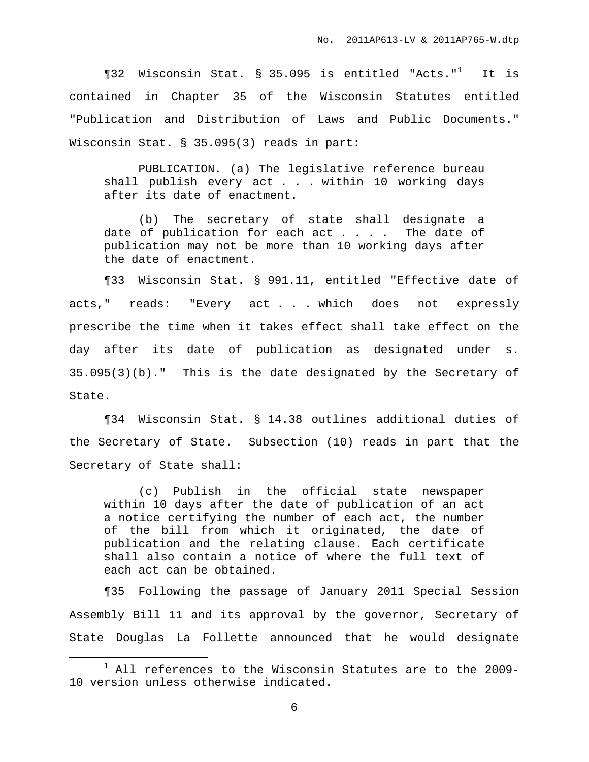¶32 Wisconsin Stat. § 35.095 is entitled "Acts." <sup>1</sup> It is contained in Chapter 35 of the Wisconsin Statutes entitled "Publication and Distribution of Laws and Public Documents." Wisconsin Stat. § 35.095(3) reads in part:

PUBLICATION. (a) The legislative reference bureau shall publish every act . . . within 10 working days after its date of enactment.

(b) The secretary of state shall designate a date of publication for each  $act . . . .$  The date of publication may not be more than 10 working days after the date of enactment.

¶33 Wisconsin Stat. § 991.11, entitled "Effective date of acts," reads: "Every act . . . which does not expressly prescribe the time when it takes effect shall take effect on the day after its date of publication as designated under s. 35.095(3)(b)." This is the date designated by the Secretary of State.

¶34 Wisconsin Stat. § 14.38 outlines additional duties of the Secretary of State. Subsection (10) reads in part that the Secretary of State shall:

(c) Publish in the official state newspaper within 10 days after the date of publication of an act a notice certifying the number of each act, the number of the bill from which it originated, the date of publication and the relating clause. Each certificate shall also contain a notice of where the full text of each act can be obtained.

¶35 Following the passage of January 2011 Special Session Assembly Bill 11 and its approval by the governor, Secretary of State Douglas La Follette announced that he would designate

 $1$  All references to the Wisconsin Statutes are to the 2009-10 version unless otherwise indicated.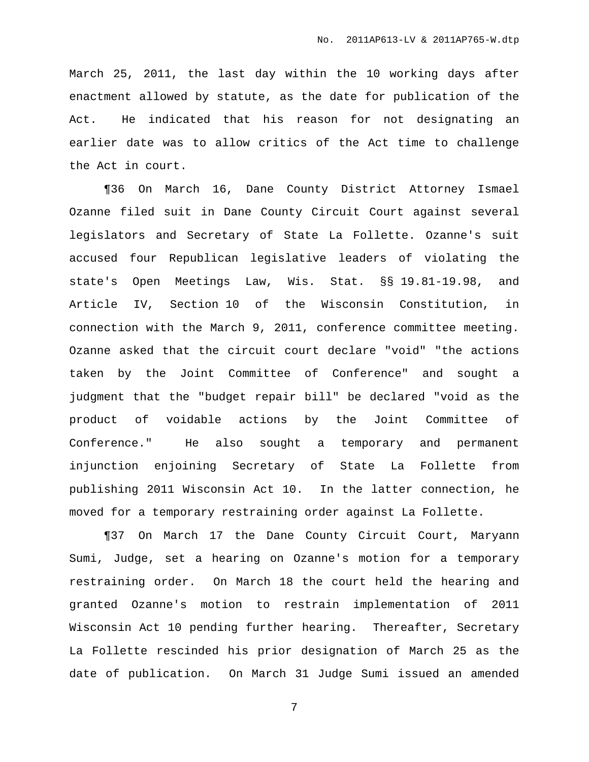March 25, 2011, the last day within the 10 working days after enactment allowed by statute, as the date for publication of the Act. He indicated that his reason for not designating an earlier date was to allow critics of the Act time to challenge the Act in court.

¶36 On March 16, Dane County District Attorney Ismael Ozanne filed suit in Dane County Circuit Court against several legislators and Secretary of State La Follette. Ozanne's suit accused four Republican legislative leaders of violating the state's Open Meetings Law, Wis. Stat. §§ 19.81-19.98, and Article IV, Section 10 of the Wisconsin Constitution, in connection with the March 9, 2011, conference committee meeting. Ozanne asked that the circuit court declare "void" "the actions taken by the Joint Committee of Conference" and sought a judgment that the "budget repair bill" be declared "void as the product of voidable actions by the Joint Committee of Conference." He also sought a temporary and permanent injunction enjoining Secretary of State La Follette from publishing 2011 Wisconsin Act 10. In the latter connection, he moved for a temporary restraining order against La Follette.

¶37 On March 17 the Dane County Circuit Court, Maryann Sumi, Judge, set a hearing on Ozanne's motion for a temporary restraining order. On March 18 the court held the hearing and granted Ozanne's motion to restrain implementation of 2011 Wisconsin Act 10 pending further hearing. Thereafter, Secretary La Follette rescinded his prior designation of March 25 as the date of publication. On March 31 Judge Sumi issued an amended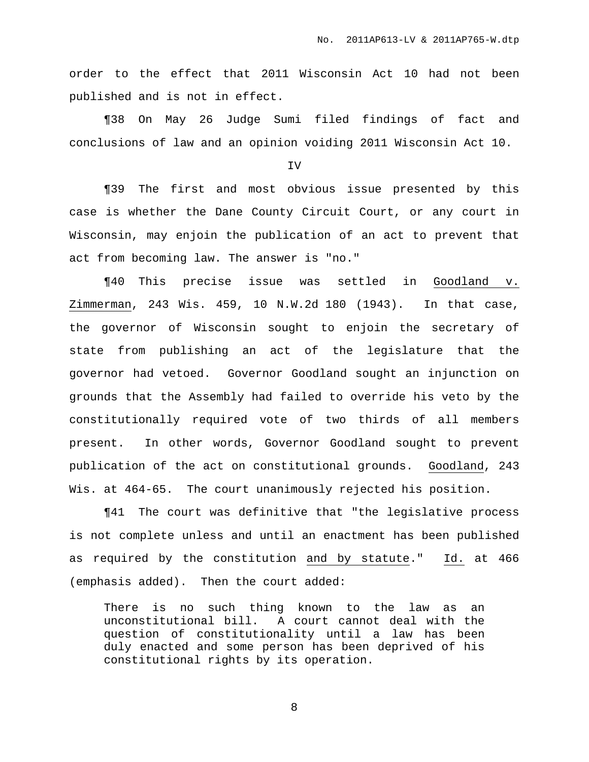order to the effect that 2011 Wisconsin Act 10 had not been published and is not in effect.

¶38 On May 26 Judge Sumi filed findings of fact and conclusions of law and an opinion voiding 2011 Wisconsin Act 10.

IV

¶39 The first and most obvious issue presented by this case is whether the Dane County Circuit Court, or any court in Wisconsin, may enjoin the publication of an act to prevent that act from becoming law. The answer is "no."

¶40 This precise issue was settled in Goodland v. Zimmerman, 243 Wis. 459, 10 N.W.2d 180 (1943). In that case, the governor of Wisconsin sought to enjoin the secretary of state from publishing an act of the legislature that the governor had vetoed. Governor Goodland sought an injunction on grounds that the Assembly had failed to override his veto by the constitutionally required vote of two thirds of all members present. In other words, Governor Goodland sought to prevent publication of the act on constitutional grounds. Goodland, 243 Wis. at 464-65. The court unanimously rejected his position.

¶41 The court was definitive that "the legislative process is not complete unless and until an enactment has been published as required by the constitution and by statute." Id. at 466 (emphasis added). Then the court added:

There is no such thing known to the law as an unconstitutional bill. A court cannot deal with the question of constitutionality until a law has been duly enacted and some person has been deprived of his constitutional rights by its operation.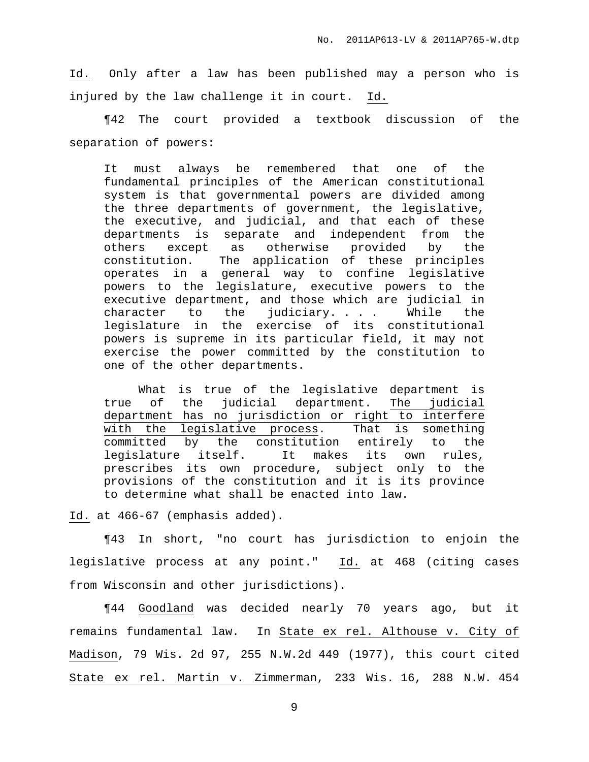Id. Only after a law has been published may a person who is injured by the law challenge it in court. Id.

¶42 The court provided a textbook discussion of the separation of powers:

It must always be remembered that one of the fundamental principles of the American constitutional system is that governmental powers are divided among the three departments of government, the legislative, the executive, and judicial, and that each of these departments is separate and independent from the others except as otherwise provided by the constitution. The application of these principles operates in a general way to confine legislative powers to the legislature, executive powers to the executive department, and those which are judicial in character to the judiciary. . . . While the legislature in the exercise of its constitutional powers is supreme in its particular field, it may not exercise the power committed by the constitution to one of the other departments.

What is true of the legislative department is true of the judicial department. The judicial department has no jurisdiction or right to interfere with the legislative process. That is something committed by the constitution entirely to the legislature itself. It makes its own rules, prescribes its own procedure, subject only to the provisions of the constitution and it is its province to determine what shall be enacted into law.

Id. at 466-67 (emphasis added).

¶43 In short, "no court has jurisdiction to enjoin the legislative process at any point." Id. at 468 (citing cases from Wisconsin and other jurisdictions).

¶44 Goodland was decided nearly 70 years ago, but it remains fundamental law. In State ex rel. Althouse v. City of Madison, 79 Wis. 2d 97, 255 N.W.2d 449 (1977), this court cited State ex rel. Martin v. Zimmerman, 233 Wis. 16, 288 N.W. 454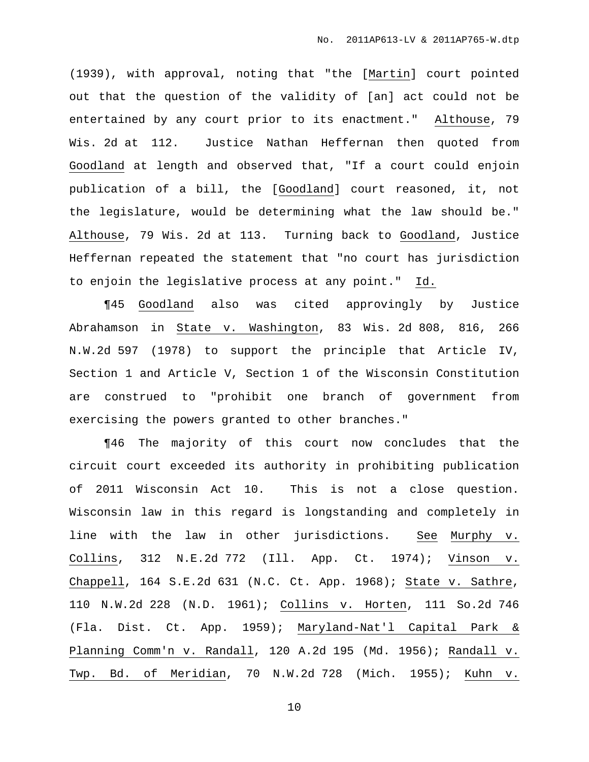(1939), with approval, noting that "the [Martin] court pointed out that the question of the validity of [an] act could not be entertained by any court prior to its enactment." Althouse, 79 Wis. 2d at 112. Justice Nathan Heffernan then quoted from Goodland at length and observed that, "If a court could enjoin publication of a bill, the [Goodland] court reasoned, it, not the legislature, would be determining what the law should be." Althouse, 79 Wis. 2d at 113. Turning back to Goodland, Justice Heffernan repeated the statement that "no court has jurisdiction to enjoin the legislative process at any point." Id.

¶45 Goodland also was cited approvingly by Justice Abrahamson in State v. Washington, 83 Wis. 2d 808, 816, 266 N.W.2d 597 (1978) to support the principle that Article IV, Section 1 and Article V, Section 1 of the Wisconsin Constitution are construed to "prohibit one branch of government from exercising the powers granted to other branches."

¶46 The majority of this court now concludes that the circuit court exceeded its authority in prohibiting publication of 2011 Wisconsin Act 10. This is not a close question. Wisconsin law in this regard is longstanding and completely in line with the law in other jurisdictions. See Murphy v. Collins, 312 N.E.2d 772 (Ill. App. Ct. 1974); Vinson v. Chappell, 164 S.E.2d 631 (N.C. Ct. App. 1968); State v. Sathre, 110 N.W.2d 228 (N.D. 1961); Collins v. Horten, 111 So.2d 746 (Fla. Dist. Ct. App. 1959); Maryland-Nat'l Capital Park & Planning Comm'n v. Randall, 120 A.2d 195 (Md. 1956); Randall v. Twp. Bd. of Meridian, 70 N.W.2d 728 (Mich. 1955); Kuhn v.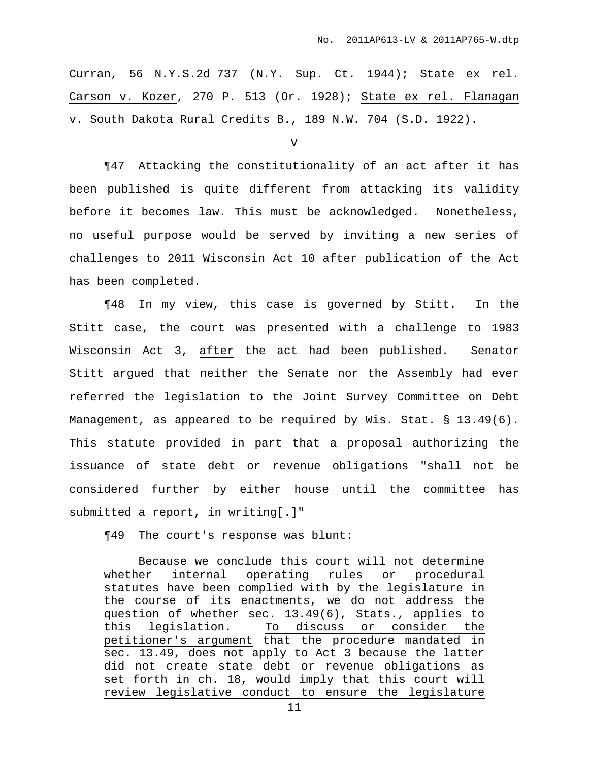Curran, 56 N.Y.S.2d 737 (N.Y. Sup. Ct. 1944); State ex rel. Carson v. Kozer, 270 P. 513 (Or. 1928); State ex rel. Flanagan v. South Dakota Rural Credits B., 189 N.W. 704 (S.D. 1922).

 $\overline{V}$ 

¶47 Attacking the constitutionality of an act after it has been published is quite different from attacking its validity before it becomes law. This must be acknowledged. Nonetheless, no useful purpose would be served by inviting a new series of challenges to 2011 Wisconsin Act 10 after publication of the Act has been completed.

¶48 In my view, this case is governed by Stitt. In the Stitt case, the court was presented with a challenge to 1983 Wisconsin Act 3, after the act had been published. Senator Stitt argued that neither the Senate nor the Assembly had ever referred the legislation to the Joint Survey Committee on Debt Management, as appeared to be required by Wis. Stat. § 13.49(6). This statute provided in part that a proposal authorizing the issuance of state debt or revenue obligations "shall not be considered further by either house until the committee has submitted a report, in writing[.]"

¶49 The court's response was blunt:

Because we conclude this court will not determine whether internal operating rules or procedural statutes have been complied with by the legislature in the course of its enactments, we do not address the question of whether sec. 13.49(6), Stats., applies to this legislation. To discuss or consider the petitioner's argument that the procedure mandated in sec. 13.49, does not apply to Act 3 because the latter did not create state debt or revenue obligations as set forth in ch. 18, would imply that this court will review legislative conduct to ensure the legislature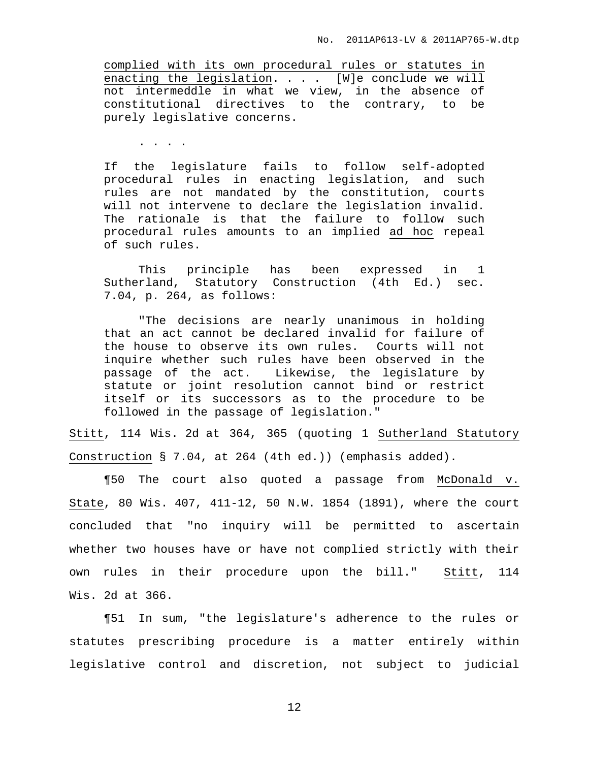complied with its own procedural rules or statutes in enacting the legislation. . . . [W]e conclude we will not intermeddle in what we view, in the absence of constitutional directives to the contrary, to be purely legislative concerns.

. . . .

If the legislature fails to follow self-adopted procedural rules in enacting legislation, and such rules are not mandated by the constitution, courts will not intervene to declare the legislation invalid. The rationale is that the failure to follow such procedural rules amounts to an implied ad hoc repeal of such rules.

This principle has been expressed in 1 Sutherland, Statutory Construction (4th Ed.) sec. 7.04, p. 264, as follows:

"The decisions are nearly unanimous in holding that an act cannot be declared invalid for failure of the house to observe its own rules. Courts will not inquire whether such rules have been observed in the passage of the act. Likewise, the legislature by statute or joint resolution cannot bind or restrict itself or its successors as to the procedure to be followed in the passage of legislation."

Stitt, 114 Wis. 2d at 364, 365 (quoting 1 Sutherland Statutory Construction § 7.04, at 264 (4th ed.)) (emphasis added).

¶50 The court also quoted a passage from McDonald v. State, 80 Wis. 407, 411-12, 50 N.W. 1854 (1891), where the court concluded that "no inquiry will be permitted to ascertain whether two houses have or have not complied strictly with their own rules in their procedure upon the bill." Stitt, 114 Wis. 2d at 366.

¶51 In sum, "the legislature's adherence to the rules or statutes prescribing procedure is a matter entirely within legislative control and discretion, not subject to judicial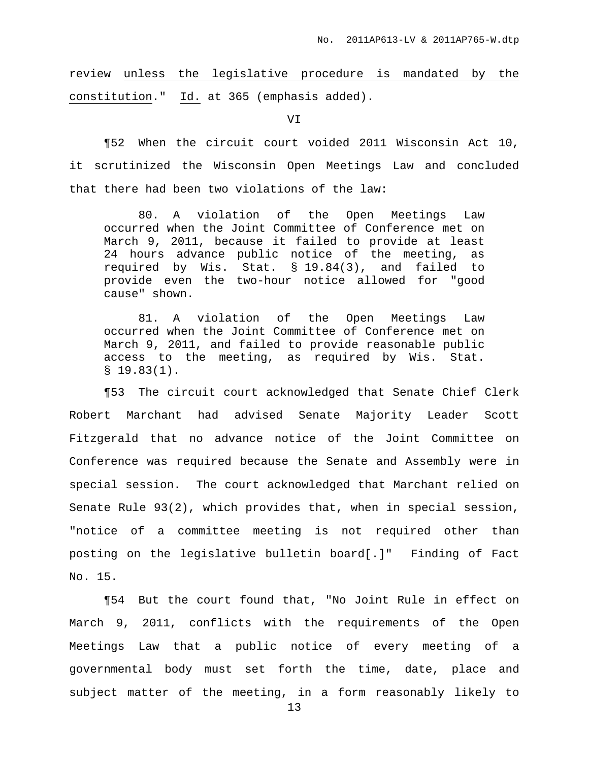review unless the legislative procedure is mandated by the constitution." Id. at 365 (emphasis added).

VI

¶52 When the circuit court voided 2011 Wisconsin Act 10, it scrutinized the Wisconsin Open Meetings Law and concluded that there had been two violations of the law:

80. A violation of the Open Meetings Law occurred when the Joint Committee of Conference met on March 9, 2011, because it failed to provide at least 24 hours advance public notice of the meeting, as required by Wis. Stat. § 19.84(3), and failed to provide even the two-hour notice allowed for "good cause" shown.

81. A violation of the Open Meetings Law occurred when the Joint Committee of Conference met on March 9, 2011, and failed to provide reasonable public access to the meeting, as required by Wis. Stat.  $$19.83(1).$ 

¶53 The circuit court acknowledged that Senate Chief Clerk Robert Marchant had advised Senate Majority Leader Scott Fitzgerald that no advance notice of the Joint Committee on Conference was required because the Senate and Assembly were in special session. The court acknowledged that Marchant relied on Senate Rule 93(2), which provides that, when in special session, "notice of a committee meeting is not required other than posting on the legislative bulletin board[.]" Finding of Fact No. 15.

¶54 But the court found that, "No Joint Rule in effect on March 9, 2011, conflicts with the requirements of the Open Meetings Law that a public notice of every meeting of a governmental body must set forth the time, date, place and subject matter of the meeting, in a form reasonably likely to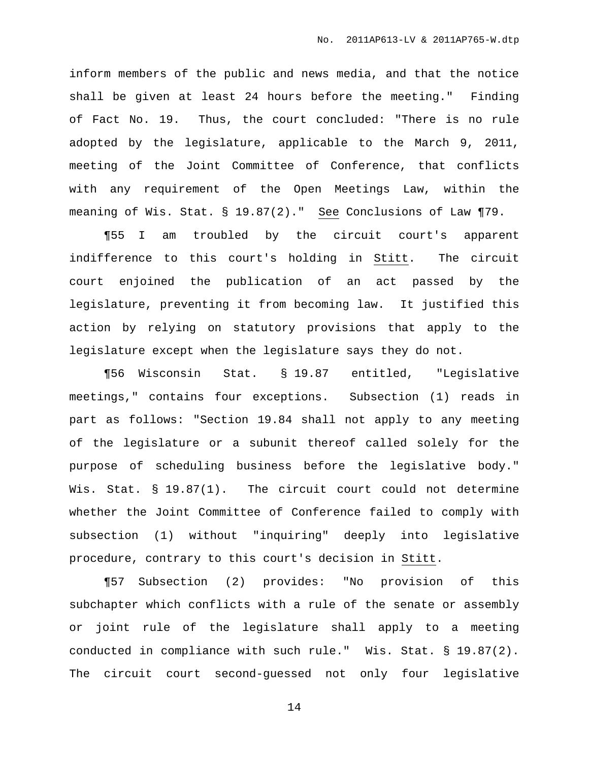inform members of the public and news media, and that the notice shall be given at least 24 hours before the meeting." Finding of Fact No. 19. Thus, the court concluded: "There is no rule adopted by the legislature, applicable to the March 9, 2011, meeting of the Joint Committee of Conference, that conflicts with any requirement of the Open Meetings Law, within the meaning of Wis. Stat. § 19.87(2)." See Conclusions of Law ¶79.

¶55 I am troubled by the circuit court's apparent indifference to this court's holding in Stitt. The circuit court enjoined the publication of an act passed by the legislature, preventing it from becoming law. It justified this action by relying on statutory provisions that apply to the legislature except when the legislature says they do not.

¶56 Wisconsin Stat. § 19.87 entitled, "Legislative meetings," contains four exceptions. Subsection (1) reads in part as follows: "Section 19.84 shall not apply to any meeting of the legislature or a subunit thereof called solely for the purpose of scheduling business before the legislative body." Wis. Stat. § 19.87(1). The circuit court could not determine whether the Joint Committee of Conference failed to comply with subsection (1) without "inquiring" deeply into legislative procedure, contrary to this court's decision in Stitt.

¶57 Subsection (2) provides: "No provision of this subchapter which conflicts with a rule of the senate or assembly or joint rule of the legislature shall apply to a meeting conducted in compliance with such rule." Wis. Stat. § 19.87(2). The circuit court second-guessed not only four legislative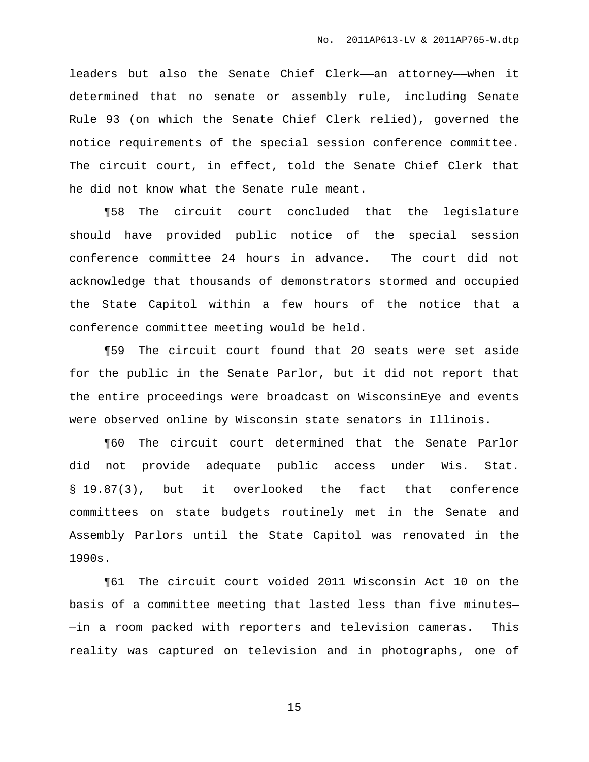leaders but also the Senate Chief Clerk—an attorney—when it determined that no senate or assembly rule, including Senate Rule 93 (on which the Senate Chief Clerk relied), governed the notice requirements of the special session conference committee. The circuit court, in effect, told the Senate Chief Clerk that he did not know what the Senate rule meant.

¶58 The circuit court concluded that the legislature should have provided public notice of the special session conference committee 24 hours in advance. The court did not acknowledge that thousands of demonstrators stormed and occupied the State Capitol within a few hours of the notice that a conference committee meeting would be held.

¶59 The circuit court found that 20 seats were set aside for the public in the Senate Parlor, but it did not report that the entire proceedings were broadcast on WisconsinEye and events were observed online by Wisconsin state senators in Illinois.

¶60 The circuit court determined that the Senate Parlor did not provide adequate public access under Wis. Stat. § 19.87(3), but it overlooked the fact that conference committees on state budgets routinely met in the Senate and Assembly Parlors until the State Capitol was renovated in the 1990s.

¶61 The circuit court voided 2011 Wisconsin Act 10 on the basis of a committee meeting that lasted less than five minutes— —in a room packed with reporters and television cameras. This reality was captured on television and in photographs, one of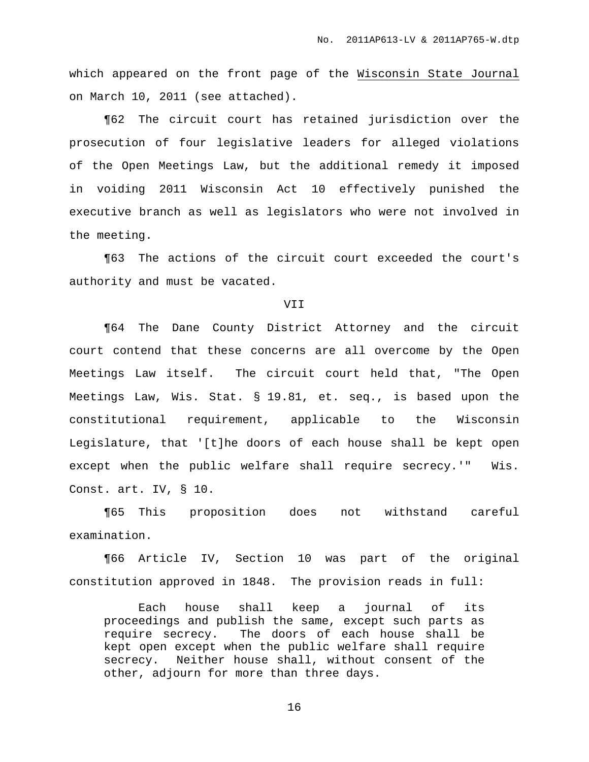which appeared on the front page of the Wisconsin State Journal on March 10, 2011 (see attached).

¶62 The circuit court has retained jurisdiction over the prosecution of four legislative leaders for alleged violations of the Open Meetings Law, but the additional remedy it imposed in voiding 2011 Wisconsin Act 10 effectively punished the executive branch as well as legislators who were not involved in the meeting.

¶63 The actions of the circuit court exceeded the court's authority and must be vacated.

### VII

¶64 The Dane County District Attorney and the circuit court contend that these concerns are all overcome by the Open Meetings Law itself. The circuit court held that, "The Open Meetings Law, Wis. Stat. § 19.81, et. seq., is based upon the constitutional requirement, applicable to the Wisconsin Legislature, that '[t]he doors of each house shall be kept open except when the public welfare shall require secrecy.'" Wis. Const. art. IV, § 10.

¶65 This proposition does not withstand careful examination.

¶66 Article IV, Section 10 was part of the original constitution approved in 1848. The provision reads in full:

Each house shall keep a journal of its proceedings and publish the same, except such parts as require secrecy. The doors of each house shall be kept open except when the public welfare shall require secrecy. Neither house shall, without consent of the other, adjourn for more than three days.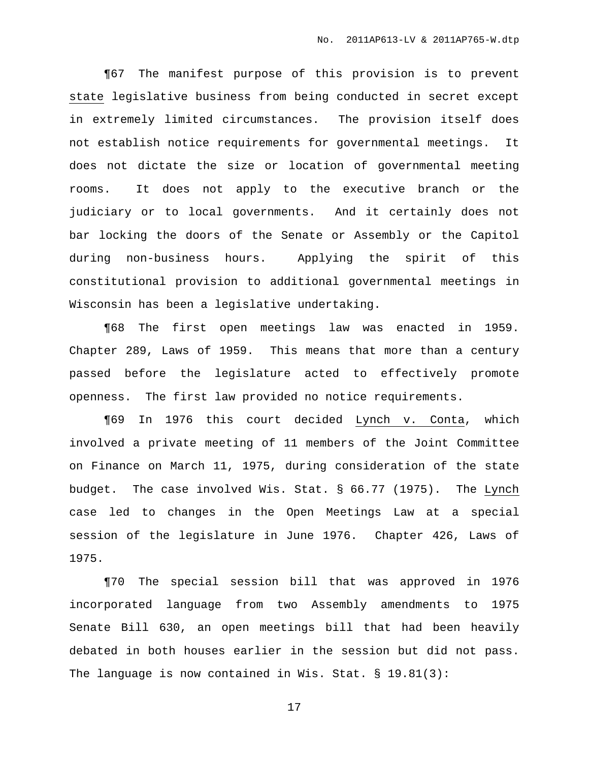¶67 The manifest purpose of this provision is to prevent state legislative business from being conducted in secret except in extremely limited circumstances. The provision itself does not establish notice requirements for governmental meetings. It does not dictate the size or location of governmental meeting rooms. It does not apply to the executive branch or the judiciary or to local governments. And it certainly does not bar locking the doors of the Senate or Assembly or the Capitol during non-business hours. Applying the spirit of this constitutional provision to additional governmental meetings in Wisconsin has been a legislative undertaking.

¶68 The first open meetings law was enacted in 1959. Chapter 289, Laws of 1959. This means that more than a century passed before the legislature acted to effectively promote openness. The first law provided no notice requirements.

¶69 In 1976 this court decided Lynch v. Conta, which involved a private meeting of 11 members of the Joint Committee on Finance on March 11, 1975, during consideration of the state budget. The case involved Wis. Stat. § 66.77 (1975). The Lynch case led to changes in the Open Meetings Law at a special session of the legislature in June 1976. Chapter 426, Laws of 1975.

¶70 The special session bill that was approved in 1976 incorporated language from two Assembly amendments to 1975 Senate Bill 630, an open meetings bill that had been heavily debated in both houses earlier in the session but did not pass. The language is now contained in Wis. Stat. § 19.81(3):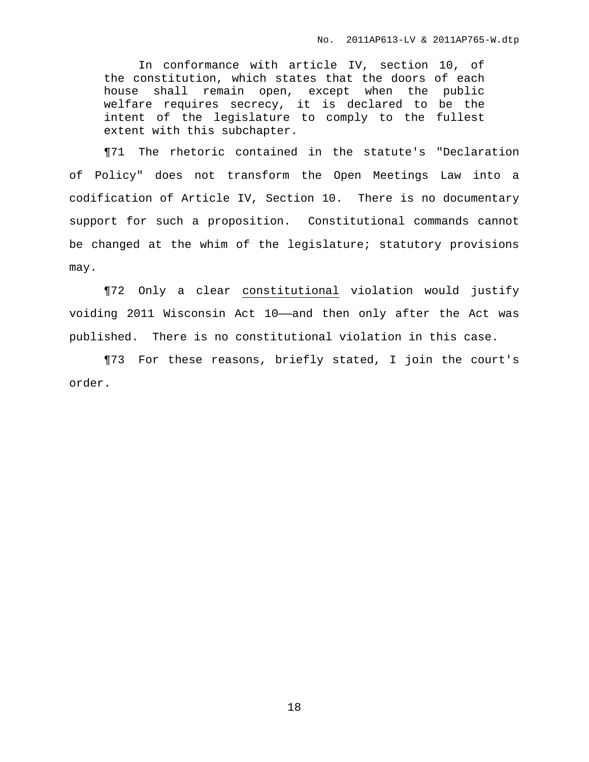In conformance with article IV, section 10, of the constitution, which states that the doors of each house shall remain open, except when the public welfare requires secrecy, it is declared to be the intent of the legislature to comply to the fullest extent with this subchapter.

¶71 The rhetoric contained in the statute's "Declaration of Policy" does not transform the Open Meetings Law into a codification of Article IV, Section 10. There is no documentary support for such a proposition. Constitutional commands cannot be changed at the whim of the legislature; statutory provisions may.

¶72 Only a clear constitutional violation would justify voiding 2011 Wisconsin Act 10——and then only after the Act was published. There is no constitutional violation in this case.

¶73 For these reasons, briefly stated, I join the court's order.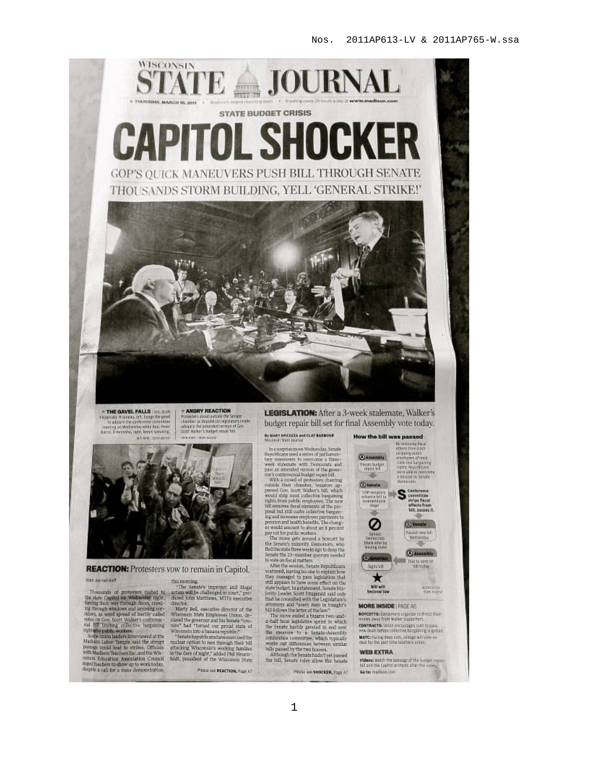

THE GAVEL FALLS ISen. Statt Fizigirald Askeraa let, tangs the game<br>to adjoin the carterence christine<br>reeding on Medievskie while Rep. Peter<br>Baca, D-Kenedia, right, leeyn speaking. **MO 600 / TANK SHOUL** 

ANGRY REACTION **PANGRY REACTION**<br>Praisains show out of the Service<br>change as Republished by Sancra Hade<br>advance the amended version of Gov<br>Soon water - use some<br>some ware - use some

**REACTION:** Protesters yow to remain in Capitol.

FIGURE 1 FOCCSICLES VOW COULTRAINT IT CAPITOI.<br>
Size assessing the materials of processes maded to action of the Semidele improper and lingal<br>
The standard policies and the Capital on Withwales and the distribution count;

urged funchers to show up to work today,<br>despite a rall for a mass demonstration

Please see REACTION, Page AT

LEGISLATION: After a 3-week stalemate, Walker's budget repair bill set for final Assembly vote today.

## By MARY SPICILIZEA and CLAY RARIDOUR

The assumption mass of the symbol symbol and a state of the symbol<br>symbol symbol symbol symbol symbol symbol symbol symbol symbol symbol<br>symbol symbol symbol symbol symbol symbol symbol symbol symbol symbol symbol symbol

posal but still can<br>be considered bargain-ing posal but still can<br>be considered bargain-ing position and modific henders. The chosen<br>position and modific henders, the chosen of the stress<br>of a system of the stress of the orily Leader Soott Exegerald said only<br>that he consulted with the Legislature's<br>attorneys and "every riem in tomght's<br>bill follows the letter of the law."

In induces the section of the law.<br>The move ended a bizarre two-and-abilit bour legislative sector. In which<br>the Section is defined in and set that the Section band the mass<br>of the Section control of the second possible w

Please see SHOCKER, Page A7



BOYCOTTS: Consumers organize to direct their CONTRACTS: Union encourages rush to pass MATC: Facing deep cuts, collège will wife en<br>deal for the part fine teachers writer.

#### **WEB EXTRA**

**Videos:** Watch the passage of the budget report<br>bill and the Capitol protests after the veries, Go to: madispo com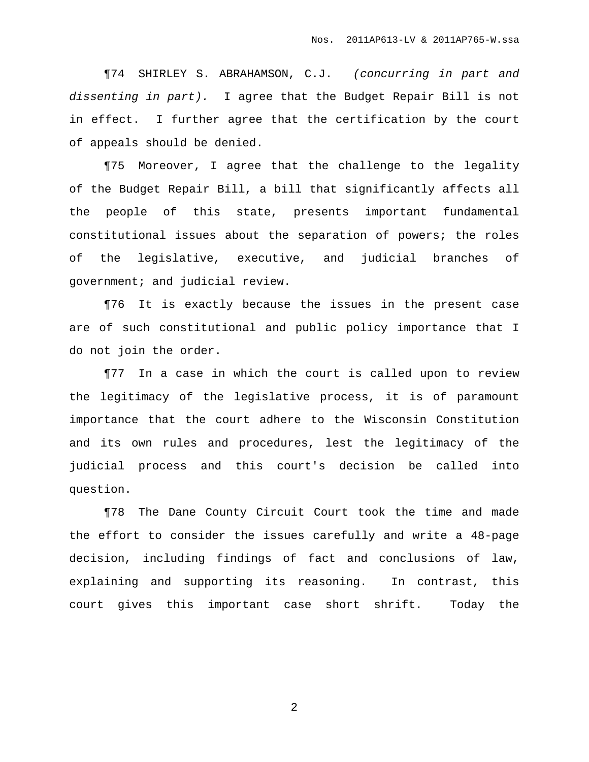¶74 SHIRLEY S. ABRAHAMSON, C.J. (concurring in part and dissenting in part). I agree that the Budget Repair Bill is not in effect. I further agree that the certification by the court of appeals should be denied.

¶75 Moreover, I agree that the challenge to the legality of the Budget Repair Bill, a bill that significantly affects all the people of this state, presents important fundamental constitutional issues about the separation of powers; the roles of the legislative, executive, and judicial branches of government; and judicial review.

¶76 It is exactly because the issues in the present case are of such constitutional and public policy importance that I do not join the order.

¶77 In a case in which the court is called upon to review the legitimacy of the legislative process, it is of paramount importance that the court adhere to the Wisconsin Constitution and its own rules and procedures, lest the legitimacy of the judicial process and this court's decision be called into question.

¶78 The Dane County Circuit Court took the time and made the effort to consider the issues carefully and write a 48-page decision, including findings of fact and conclusions of law, explaining and supporting its reasoning. In contrast, this court gives this important case short shrift. Today the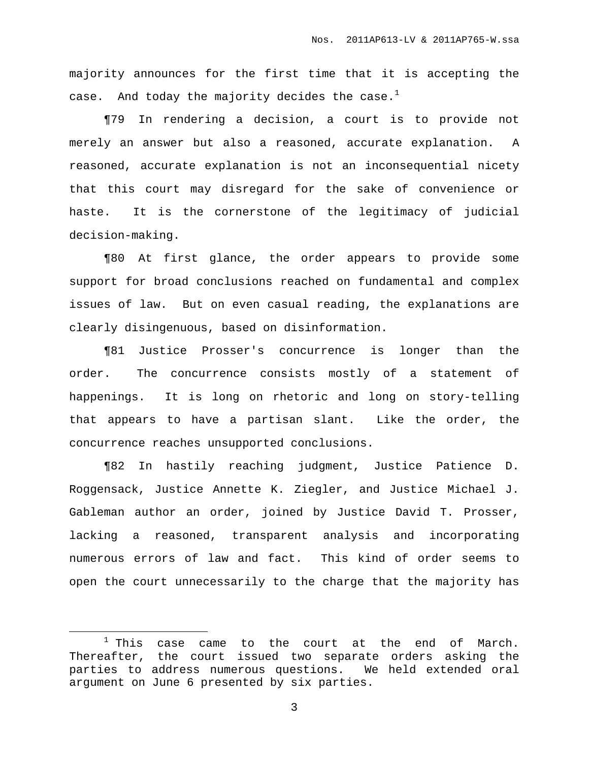majority announces for the first time that it is accepting the case. And today the majority decides the case. $^{\rm l}$ 

¶79 In rendering a decision, a court is to provide not merely an answer but also a reasoned, accurate explanation. A reasoned, accurate explanation is not an inconsequential nicety that this court may disregard for the sake of convenience or haste. It is the cornerstone of the legitimacy of judicial decision-making.

¶80 At first glance, the order appears to provide some support for broad conclusions reached on fundamental and complex issues of law. But on even casual reading, the explanations are clearly disingenuous, based on disinformation.

¶81 Justice Prosser's concurrence is longer than the order. The concurrence consists mostly of a statement of happenings. It is long on rhetoric and long on story-telling that appears to have a partisan slant. Like the order, the concurrence reaches unsupported conclusions.

¶82 In hastily reaching judgment, Justice Patience D. Roggensack, Justice Annette K. Ziegler, and Justice Michael J. Gableman author an order, joined by Justice David T. Prosser, lacking a reasoned, transparent analysis and incorporating numerous errors of law and fact. This kind of order seems to open the court unnecessarily to the charge that the majority has

 $1$  This case came to the court at the end of March. Thereafter, the court issued two separate orders asking the parties to address numerous questions. We held extended oral argument on June 6 presented by six parties.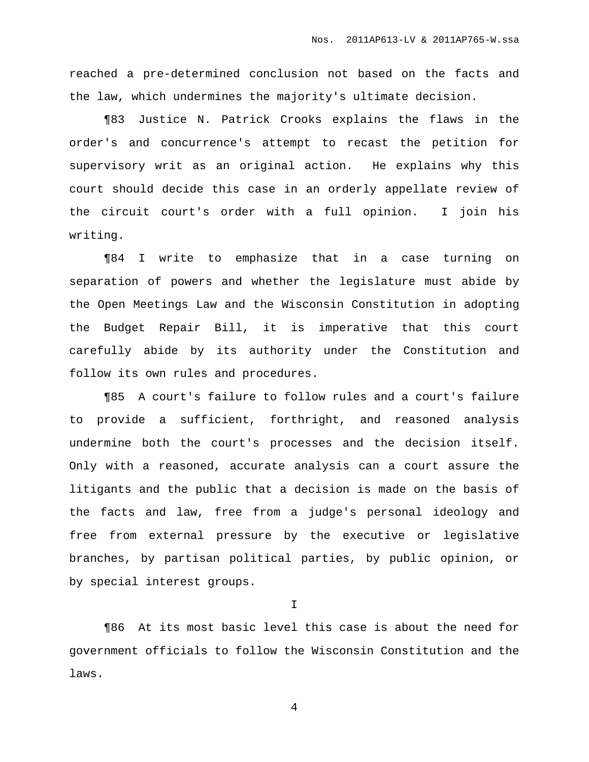reached a pre-determined conclusion not based on the facts and the law, which undermines the majority's ultimate decision.

¶83 Justice N. Patrick Crooks explains the flaws in the order's and concurrence's attempt to recast the petition for supervisory writ as an original action. He explains why this court should decide this case in an orderly appellate review of the circuit court's order with a full opinion. I join his writing.

¶84 I write to emphasize that in a case turning on separation of powers and whether the legislature must abide by the Open Meetings Law and the Wisconsin Constitution in adopting the Budget Repair Bill, it is imperative that this court carefully abide by its authority under the Constitution and follow its own rules and procedures.

¶85 A court's failure to follow rules and a court's failure to provide a sufficient, forthright, and reasoned analysis undermine both the court's processes and the decision itself. Only with a reasoned, accurate analysis can a court assure the litigants and the public that a decision is made on the basis of the facts and law, free from a judge's personal ideology and free from external pressure by the executive or legislative branches, by partisan political parties, by public opinion, or by special interest groups.

I

¶86 At its most basic level this case is about the need for government officials to follow the Wisconsin Constitution and the laws.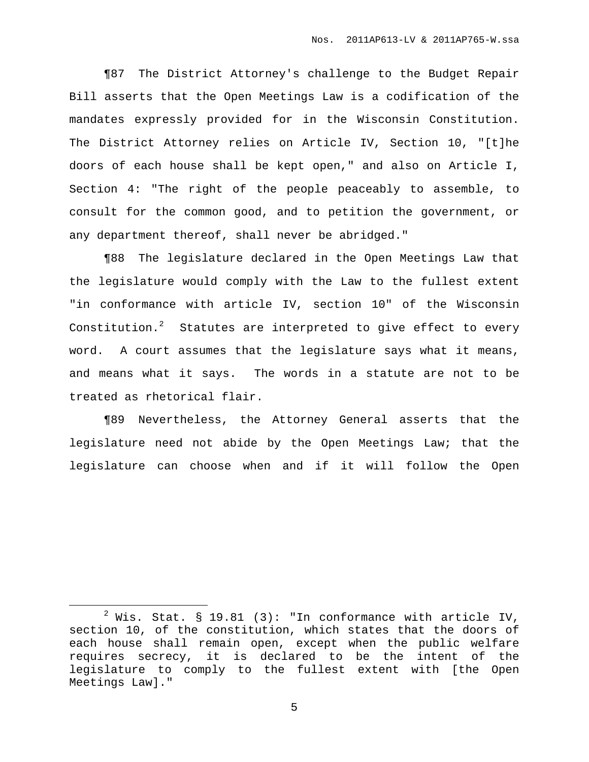¶87 The District Attorney's challenge to the Budget Repair Bill asserts that the Open Meetings Law is a codification of the mandates expressly provided for in the Wisconsin Constitution. The District Attorney relies on Article IV, Section 10, "[t]he doors of each house shall be kept open," and also on Article I, Section 4: "The right of the people peaceably to assemble, to consult for the common good, and to petition the government, or any department thereof, shall never be abridged."

¶88 The legislature declared in the Open Meetings Law that the legislature would comply with the Law to the fullest extent "in conformance with article IV, section 10" of the Wisconsin Constitution.<sup>2</sup> Statutes are interpreted to give effect to every word. A court assumes that the legislature says what it means, and means what it says. The words in a statute are not to be treated as rhetorical flair.

¶89 Nevertheless, the Attorney General asserts that the legislature need not abide by the Open Meetings Law; that the legislature can choose when and if it will follow the Open

 $2$  Wis. Stat. § 19.81 (3): "In conformance with article IV, section 10, of the constitution, which states that the doors of each house shall remain open, except when the public welfare requires secrecy, it is declared to be the intent of the legislature to comply to the fullest extent with [the Open Meetings Law]."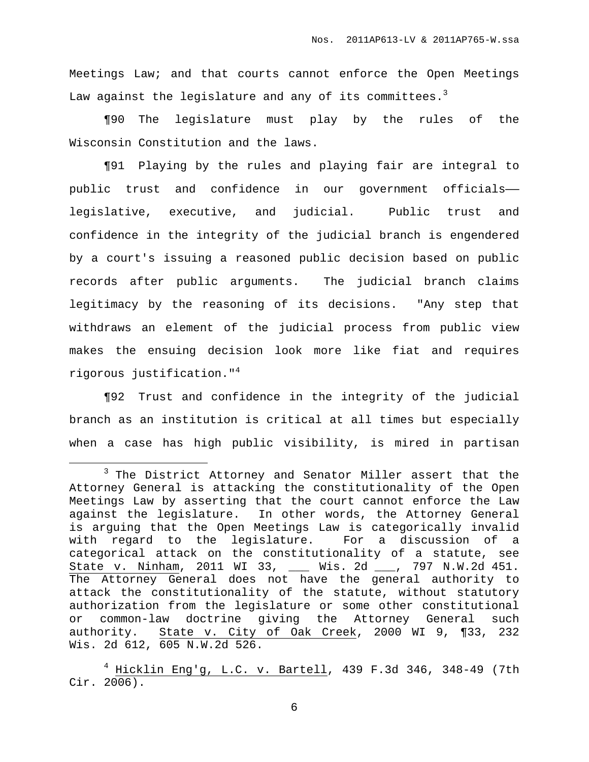Meetings Law; and that courts cannot enforce the Open Meetings Law against the legislature and any of its committees. $^3$ 

¶90 The legislature must play by the rules of the Wisconsin Constitution and the laws.

¶91 Playing by the rules and playing fair are integral to public trust and confidence in our government officials— legislative, executive, and judicial. Public trust and confidence in the integrity of the judicial branch is engendered by a court's issuing a reasoned public decision based on public records after public arguments. The judicial branch claims legitimacy by the reasoning of its decisions. "Any step that withdraws an element of the judicial process from public view makes the ensuing decision look more like fiat and requires rigorous justification." 4

¶92 Trust and confidence in the integrity of the judicial branch as an institution is critical at all times but especially when a case has high public visibility, is mired in partisan

<sup>&</sup>lt;sup>3</sup> The District Attorney and Senator Miller assert that the Attorney General is attacking the constitutionality of the Open Meetings Law by asserting that the court cannot enforce the Law against the legislature. In other words, the Attorney General is arguing that the Open Meetings Law is categorically invalid with regard to the legislature. For a discussion of a categorical attack on the constitutionality of a statute, see State v. Ninham, 2011 WI 33, \_\_\_ Wis. 2d \_\_\_, 797 N.W.2d 451. The Attorney General does not have the general authority to attack the constitutionality of the statute, without statutory authorization from the legislature or some other constitutional or common-law doctrine giving the Attorney General such authority. State v. City of Oak Creek, 2000 WI 9, ¶33, 232 Wis. 2d 612, 605 N.W.2d 526.

 $4$  Hicklin Eng'g, L.C. v. Bartell, 439 F.3d 346, 348-49 (7th Cir. 2006).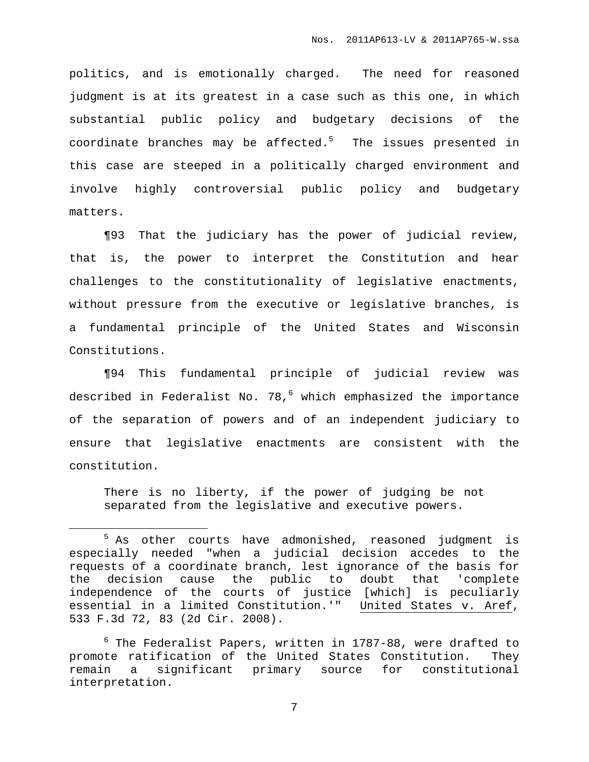politics, and is emotionally charged. The need for reasoned judgment is at its greatest in a case such as this one, in which substantial public policy and budgetary decisions of the coordinate branches may be affected.<sup>5</sup> The issues presented in this case are steeped in a politically charged environment and involve highly controversial public policy and budgetary matters.

¶93 That the judiciary has the power of judicial review, that is, the power to interpret the Constitution and hear challenges to the constitutionality of legislative enactments, without pressure from the executive or legislative branches, is a fundamental principle of the United States and Wisconsin Constitutions.

¶94 This fundamental principle of judicial review was described in Federalist No. 78, <sup>6</sup> which emphasized the importance of the separation of powers and of an independent judiciary to ensure that legislative enactments are consistent with the constitution.

There is no liberty, if the power of judging be not separated from the legislative and executive powers.

<sup>&</sup>lt;sup>5</sup> As other courts have admonished, reasoned judgment is especially needed "when a judicial decision accedes to the requests of a coordinate branch, lest ignorance of the basis for the decision cause the public to doubt that 'complete independence of the courts of justice [which] is peculiarly essential in a limited Constitution.'" United States v. Aref, 533 F.3d 72, 83 (2d Cir. 2008).

 $6$  The Federalist Papers, written in 1787-88, were drafted to promote ratification of the United States Constitution. They remain a significant primary source for constitutional interpretation.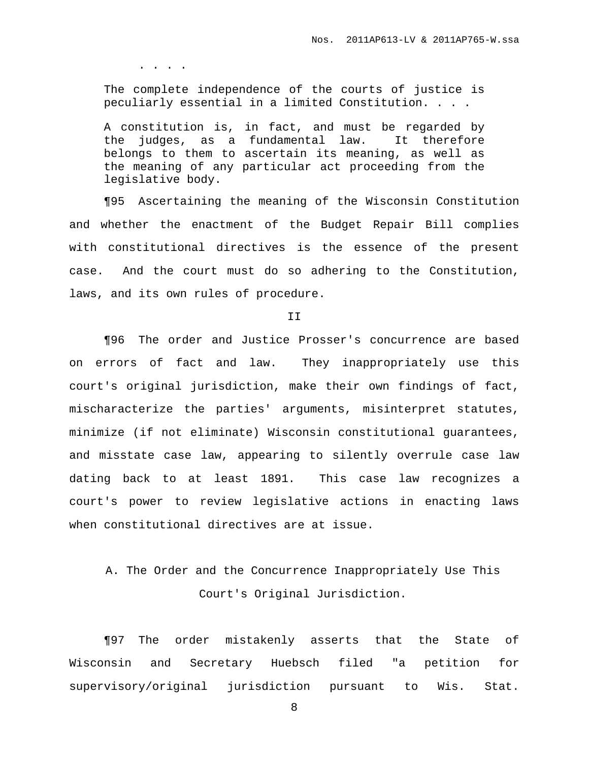. . . .

The complete independence of the courts of justice is peculiarly essential in a limited Constitution. . . .

A constitution is, in fact, and must be regarded by the judges, as a fundamental law. It therefore belongs to them to ascertain its meaning, as well as the meaning of any particular act proceeding from the legislative body.

¶95 Ascertaining the meaning of the Wisconsin Constitution and whether the enactment of the Budget Repair Bill complies with constitutional directives is the essence of the present case. And the court must do so adhering to the Constitution, laws, and its own rules of procedure.

T<sub>T</sub>

¶96 The order and Justice Prosser's concurrence are based on errors of fact and law. They inappropriately use this court's original jurisdiction, make their own findings of fact, mischaracterize the parties' arguments, misinterpret statutes, minimize (if not eliminate) Wisconsin constitutional guarantees, and misstate case law, appearing to silently overrule case law dating back to at least 1891. This case law recognizes a court's power to review legislative actions in enacting laws when constitutional directives are at issue.

## A. The Order and the Concurrence Inappropriately Use This Court's Original Jurisdiction.

¶97 The order mistakenly asserts that the State of Wisconsin and Secretary Huebsch filed "a petition for supervisory/original jurisdiction pursuant to Wis. Stat.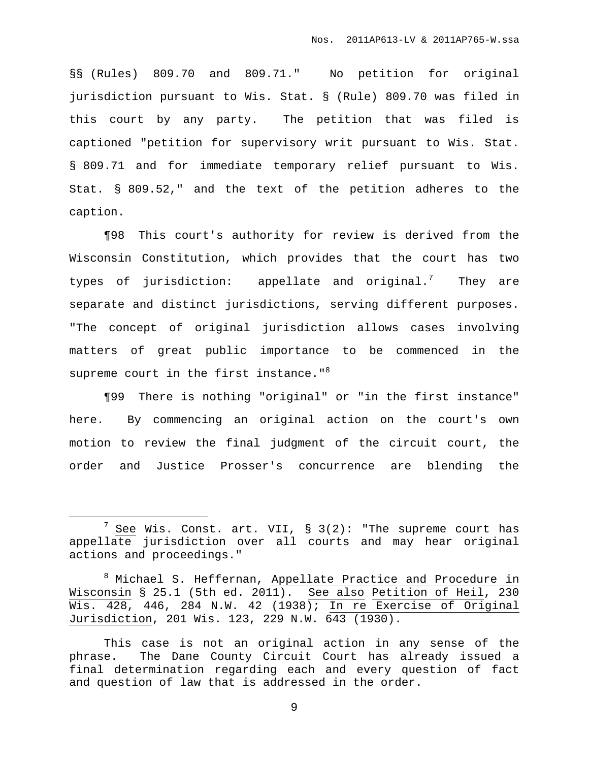§§ (Rules) 809.70 and 809.71." No petition for original jurisdiction pursuant to Wis. Stat. § (Rule) 809.70 was filed in this court by any party. The petition that was filed is captioned "petition for supervisory writ pursuant to Wis. Stat. § 809.71 and for immediate temporary relief pursuant to Wis. Stat. § 809.52," and the text of the petition adheres to the caption.

¶98 This court's authority for review is derived from the Wisconsin Constitution, which provides that the court has two types of jurisdiction: appellate and original.<sup>7</sup> They are separate and distinct jurisdictions, serving different purposes. "The concept of original jurisdiction allows cases involving matters of great public importance to be commenced in the supreme court in the first instance."<sup>8</sup>

¶99 There is nothing "original" or "in the first instance" here. By commencing an original action on the court's own motion to review the final judgment of the circuit court, the order and Justice Prosser's concurrence are blending the

<sup>&</sup>lt;sup>7</sup> See Wis. Const. art. VII,  $\S$  3(2): "The supreme court has appellate jurisdiction over all courts and may hear original actions and proceedings."

<sup>&</sup>lt;sup>8</sup> Michael S. Heffernan, Appellate Practice and Procedure in Wisconsin § 25.1 (5th ed. 2011). See also Petition of Heil, 230 Wis. 428, 446, 284 N.W. 42 (1938); In re Exercise of Original Jurisdiction, 201 Wis. 123, 229 N.W. 643 (1930).

This case is not an original action in any sense of the phrase. The Dane County Circuit Court has already issued a final determination regarding each and every question of fact and question of law that is addressed in the order.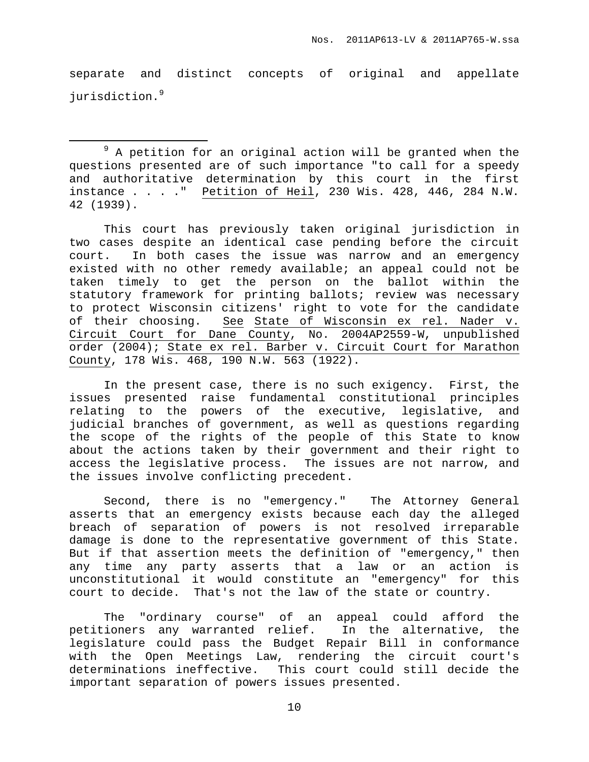separate and distinct concepts of original and appellate jurisdiction. 9

 $9$  A petition for an original action will be granted when the questions presented are of such importance "to call for a speedy and authoritative determination by this court in the first instance . . . ." Petition of Heil, 230 Wis. 428, 446, 284 N.W. 42 (1939).

This court has previously taken original jurisdiction in two cases despite an identical case pending before the circuit court. In both cases the issue was narrow and an emergency existed with no other remedy available; an appeal could not be taken timely to get the person on the ballot within the statutory framework for printing ballots; review was necessary to protect Wisconsin citizens' right to vote for the candidate of their choosing. See State of Wisconsin ex rel. Nader v. Circuit Court for Dane County, No. 2004AP2559-W, unpublished order (2004); State ex rel. Barber v. Circuit Court for Marathon County, 178 Wis. 468, 190 N.W. 563 (1922).

In the present case, there is no such exigency. First, the issues presented raise fundamental constitutional principles relating to the powers of the executive, legislative, and judicial branches of government, as well as questions regarding the scope of the rights of the people of this State to know about the actions taken by their government and their right to access the legislative process. The issues are not narrow, and the issues involve conflicting precedent.

Second, there is no "emergency." The Attorney General asserts that an emergency exists because each day the alleged breach of separation of powers is not resolved irreparable damage is done to the representative government of this State. But if that assertion meets the definition of "emergency," then any time any party asserts that a law or an action is unconstitutional it would constitute an "emergency" for this court to decide. That's not the law of the state or country.

The "ordinary course" of an appeal could afford the petitioners any warranted relief. In the alternative, the legislature could pass the Budget Repair Bill in conformance with the Open Meetings Law, rendering the circuit court's determinations ineffective. This court could still decide the important separation of powers issues presented.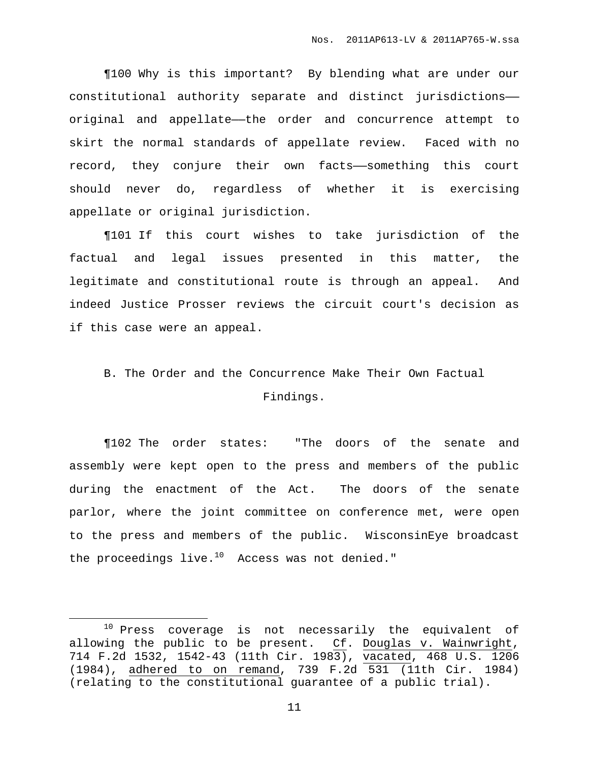¶100 Why is this important? By blending what are under our constitutional authority separate and distinct jurisdictions— original and appellate—the order and concurrence attempt to skirt the normal standards of appellate review. Faced with no record, they conjure their own facts——something this court should never do, regardless of whether it is exercising appellate or original jurisdiction.

¶101 If this court wishes to take jurisdiction of the factual and legal issues presented in this matter, the legitimate and constitutional route is through an appeal. And indeed Justice Prosser reviews the circuit court's decision as if this case were an appeal.

## B. The Order and the Concurrence Make Their Own Factual Findings.

¶102 The order states: "The doors of the senate and assembly were kept open to the press and members of the public during the enactment of the Act. The doors of the senate parlor, where the joint committee on conference met, were open to the press and members of the public. WisconsinEye broadcast the proceedings live.<sup>10</sup> Access was not denied."

<sup>10</sup> Press coverage is not necessarily the equivalent of allowing the public to be present. Cf. Douglas v. Wainwright, 714 F.2d 1532, 1542-43 (11th Cir. 1983), vacated, 468 U.S. 1206 (1984), adhered to on remand, 739 F.2d 531 (11th Cir. 1984) (relating to the constitutional guarantee of a public trial).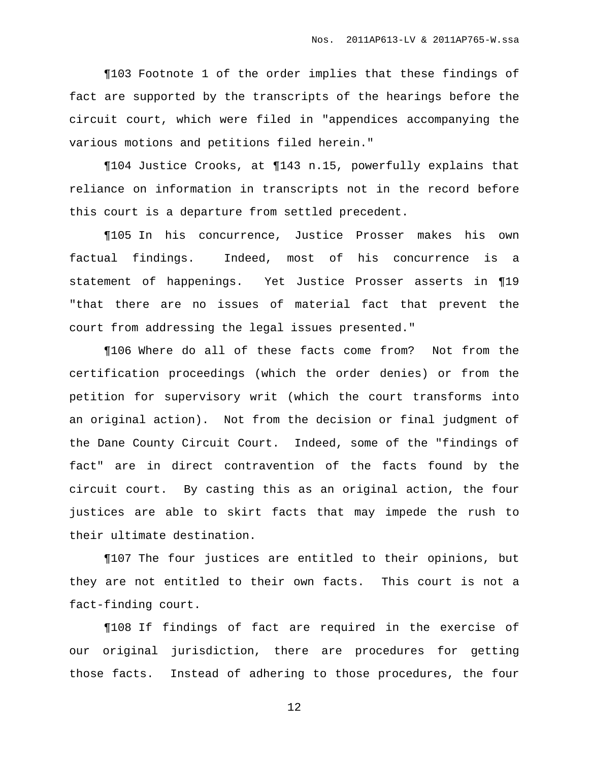¶103 Footnote 1 of the order implies that these findings of fact are supported by the transcripts of the hearings before the circuit court, which were filed in "appendices accompanying the various motions and petitions filed herein."

¶104 Justice Crooks, at ¶143 n.15, powerfully explains that reliance on information in transcripts not in the record before this court is a departure from settled precedent.

¶105 In his concurrence, Justice Prosser makes his own factual findings. Indeed, most of his concurrence is a statement of happenings. Yet Justice Prosser asserts in ¶19 "that there are no issues of material fact that prevent the court from addressing the legal issues presented."

¶106 Where do all of these facts come from? Not from the certification proceedings (which the order denies) or from the petition for supervisory writ (which the court transforms into an original action). Not from the decision or final judgment of the Dane County Circuit Court. Indeed, some of the "findings of fact" are in direct contravention of the facts found by the circuit court. By casting this as an original action, the four justices are able to skirt facts that may impede the rush to their ultimate destination.

¶107 The four justices are entitled to their opinions, but they are not entitled to their own facts. This court is not a fact-finding court.

¶108 If findings of fact are required in the exercise of our original jurisdiction, there are procedures for getting those facts. Instead of adhering to those procedures, the four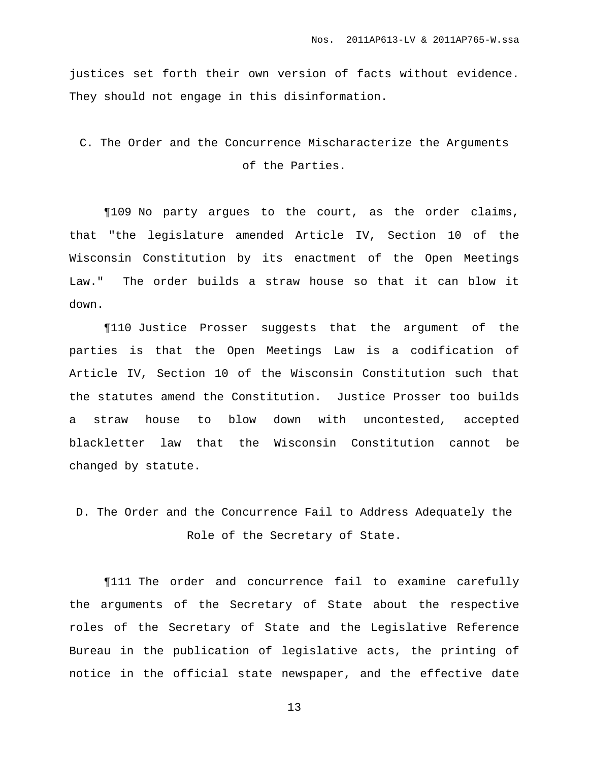justices set forth their own version of facts without evidence. They should not engage in this disinformation.

## C. The Order and the Concurrence Mischaracterize the Arguments of the Parties.

¶109 No party argues to the court, as the order claims, that "the legislature amended Article IV, Section 10 of the Wisconsin Constitution by its enactment of the Open Meetings Law." The order builds a straw house so that it can blow it down.

¶110 Justice Prosser suggests that the argument of the parties is that the Open Meetings Law is a codification of Article IV, Section 10 of the Wisconsin Constitution such that the statutes amend the Constitution. Justice Prosser too builds a straw house to blow down with uncontested, accepted blackletter law that the Wisconsin Constitution cannot be changed by statute.

## D. The Order and the Concurrence Fail to Address Adequately the Role of the Secretary of State.

¶111 The order and concurrence fail to examine carefully the arguments of the Secretary of State about the respective roles of the Secretary of State and the Legislative Reference Bureau in the publication of legislative acts, the printing of notice in the official state newspaper, and the effective date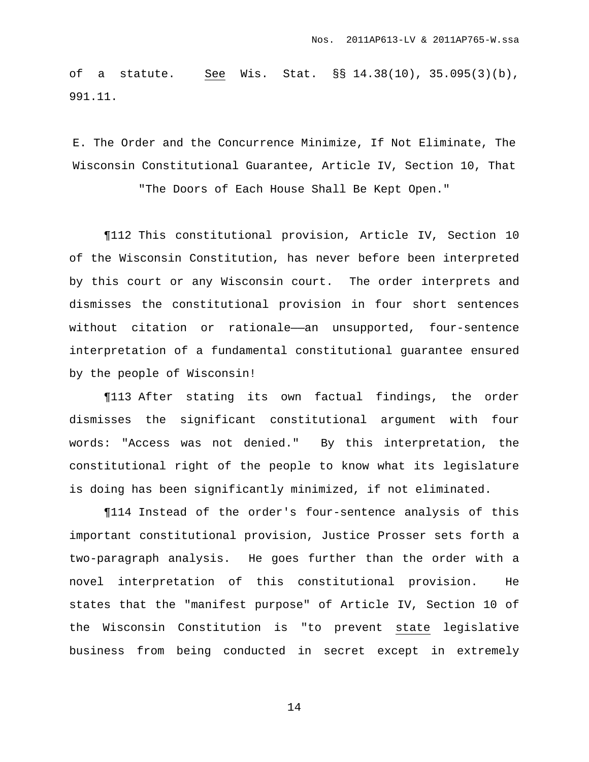of a statute. See Wis. Stat. §§ 14.38(10), 35.095(3)(b), 991.11.

E. The Order and the Concurrence Minimize, If Not Eliminate, The Wisconsin Constitutional Guarantee, Article IV, Section 10, That

"The Doors of Each House Shall Be Kept Open."

¶112 This constitutional provision, Article IV, Section 10 of the Wisconsin Constitution, has never before been interpreted by this court or any Wisconsin court. The order interprets and dismisses the constitutional provision in four short sentences without citation or rationale—an unsupported, four-sentence interpretation of a fundamental constitutional guarantee ensured by the people of Wisconsin!

¶113 After stating its own factual findings, the order dismisses the significant constitutional argument with four words: "Access was not denied." By this interpretation, the constitutional right of the people to know what its legislature is doing has been significantly minimized, if not eliminated.

¶114 Instead of the order's four-sentence analysis of this important constitutional provision, Justice Prosser sets forth a two-paragraph analysis. He goes further than the order with a novel interpretation of this constitutional provision. He states that the "manifest purpose" of Article IV, Section 10 of the Wisconsin Constitution is "to prevent state legislative business from being conducted in secret except in extremely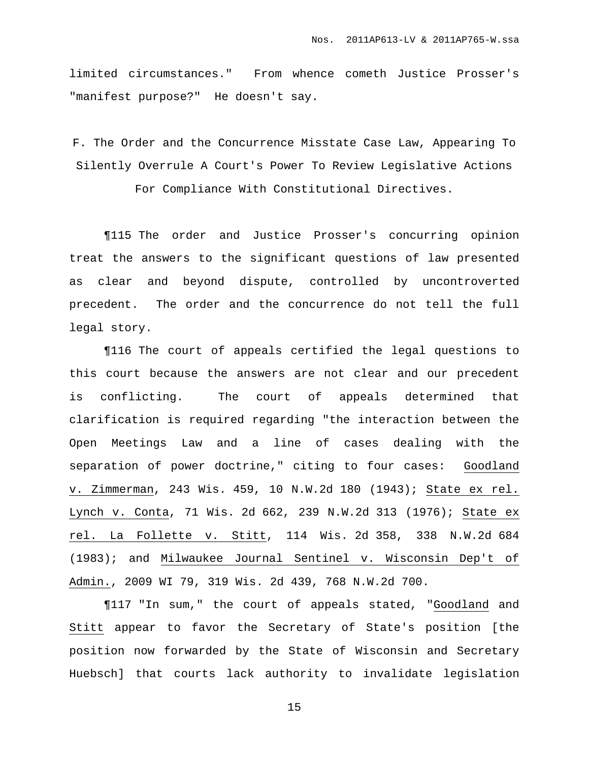limited circumstances." From whence cometh Justice Prosser's "manifest purpose?" He doesn't say.

F. The Order and the Concurrence Misstate Case Law, Appearing To Silently Overrule A Court's Power To Review Legislative Actions For Compliance With Constitutional Directives.

¶115 The order and Justice Prosser's concurring opinion treat the answers to the significant questions of law presented as clear and beyond dispute, controlled by uncontroverted precedent. The order and the concurrence do not tell the full legal story.

¶116 The court of appeals certified the legal questions to this court because the answers are not clear and our precedent is conflicting. The court of appeals determined that clarification is required regarding "the interaction between the Open Meetings Law and a line of cases dealing with the separation of power doctrine," citing to four cases: Goodland v. Zimmerman, 243 Wis. 459, 10 N.W.2d 180 (1943); State ex rel. Lynch v. Conta, 71 Wis. 2d 662, 239 N.W.2d 313 (1976); State ex rel. La Follette v. Stitt, 114 Wis. 2d 358, 338 N.W.2d 684 (1983); and Milwaukee Journal Sentinel v. Wisconsin Dep't of Admin., 2009 WI 79, 319 Wis. 2d 439, 768 N.W.2d 700.

¶117 "In sum," the court of appeals stated, "Goodland and Stitt appear to favor the Secretary of State's position [the position now forwarded by the State of Wisconsin and Secretary Huebsch] that courts lack authority to invalidate legislation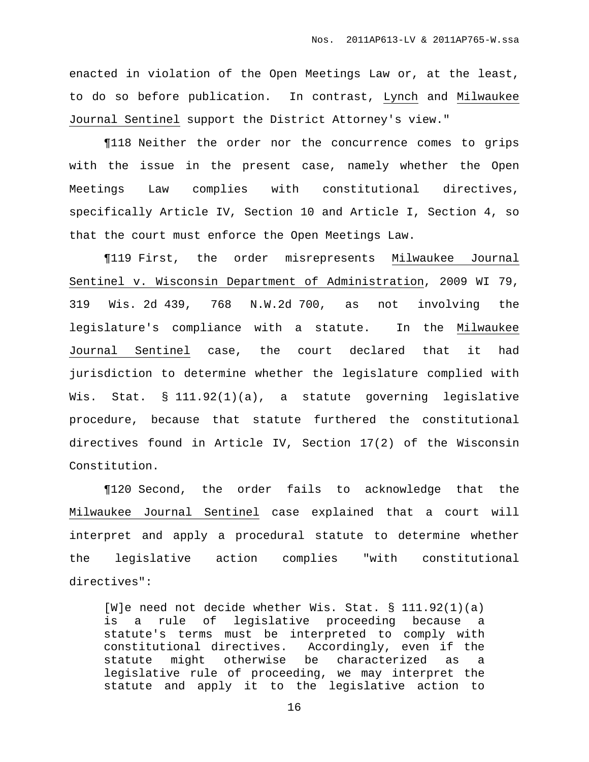enacted in violation of the Open Meetings Law or, at the least, to do so before publication. In contrast, Lynch and Milwaukee Journal Sentinel support the District Attorney's view."

¶118 Neither the order nor the concurrence comes to grips with the issue in the present case, namely whether the Open Meetings Law complies with constitutional directives, specifically Article IV, Section 10 and Article I, Section 4, so that the court must enforce the Open Meetings Law.

¶119 First, the order misrepresents Milwaukee Journal Sentinel v. Wisconsin Department of Administration, 2009 WI 79, 319 Wis. 2d 439, 768 N.W.2d 700, as not involving the legislature's compliance with a statute. In the Milwaukee Journal Sentinel case, the court declared that it had jurisdiction to determine whether the legislature complied with Wis. Stat. § 111.92(1)(a), a statute governing legislative procedure, because that statute furthered the constitutional directives found in Article IV, Section 17(2) of the Wisconsin Constitution.

¶120 Second, the order fails to acknowledge that the Milwaukee Journal Sentinel case explained that a court will interpret and apply a procedural statute to determine whether the legislative action complies "with constitutional directives":

[W]e need not decide whether Wis. Stat. § 111.92(1)(a) is a rule of legislative proceeding because a statute's terms must be interpreted to comply with constitutional directives. Accordingly, even if the statute might otherwise be characterized as a legislative rule of proceeding, we may interpret the statute and apply it to the legislative action to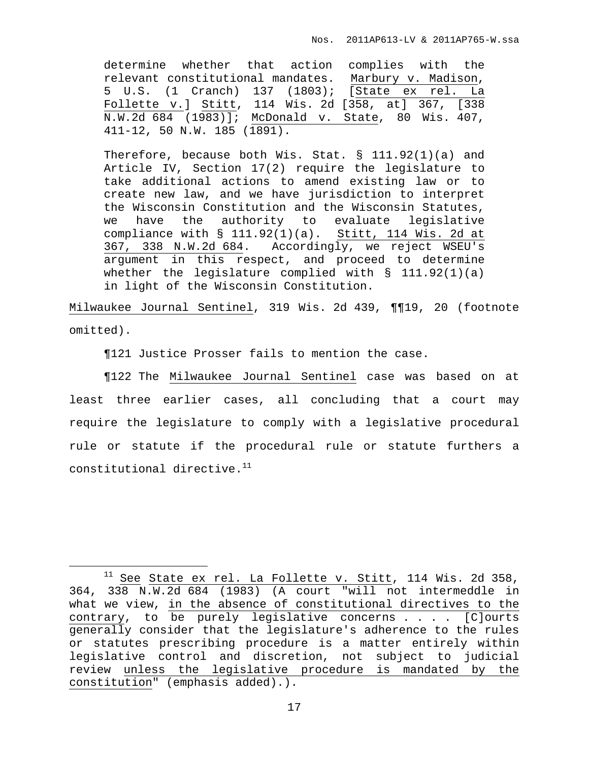determine whether that action complies with the relevant constitutional mandates. Marbury v. Madison, 5 U.S. (1 Cranch) 137 (1803); [State ex rel. La Follette v.] Stitt, 114 Wis. 2d [358, at] 367, [338 N.W.2d 684 (1983)]; McDonald v. State, 80 Wis. 407, 411-12, 50 N.W. 185 (1891).

Therefore, because both Wis. Stat. § 111.92(1)(a) and Article IV, Section 17(2) require the legislature to take additional actions to amend existing law or to create new law, and we have jurisdiction to interpret the Wisconsin Constitution and the Wisconsin Statutes, we have the authority to evaluate legislative compliance with § 111.92(1)(a). Stitt, 114 Wis. 2d at 367, 338 N.W.2d 684. Accordingly, we reject WSEU's argument in this respect, and proceed to determine whether the legislature complied with  $\S$  111.92(1)(a) in light of the Wisconsin Constitution.

Milwaukee Journal Sentinel, 319 Wis. 2d 439, ¶¶19, 20 (footnote omitted).

¶121 Justice Prosser fails to mention the case.

¶122 The Milwaukee Journal Sentinel case was based on at least three earlier cases, all concluding that a court may require the legislature to comply with a legislative procedural rule or statute if the procedural rule or statute furthers a constitutional directive. 11

 $11$  See State ex rel. La Follette v. Stitt, 114 Wis. 2d 358, 364, 338 N.W.2d 684 (1983) (A court "will not intermeddle in what we view, in the absence of constitutional directives to the contrary, to be purely legislative concerns . . . . [C]ourts generally consider that the legislature's adherence to the rules or statutes prescribing procedure is a matter entirely within legislative control and discretion, not subject to judicial review unless the legislative procedure is mandated by the constitution" (emphasis added).).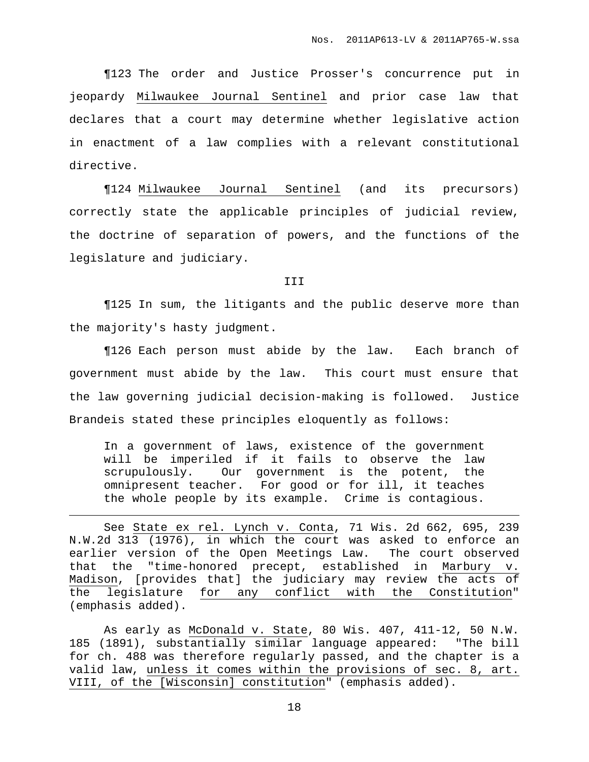¶123 The order and Justice Prosser's concurrence put in jeopardy Milwaukee Journal Sentinel and prior case law that declares that a court may determine whether legislative action in enactment of a law complies with a relevant constitutional directive.

¶124 Milwaukee Journal Sentinel (and its precursors) correctly state the applicable principles of judicial review, the doctrine of separation of powers, and the functions of the legislature and judiciary.

## III

¶125 In sum, the litigants and the public deserve more than the majority's hasty judgment.

¶126 Each person must abide by the law. Each branch of government must abide by the law. This court must ensure that the law governing judicial decision-making is followed. Justice Brandeis stated these principles eloquently as follows:

In a government of laws, existence of the government will be imperiled if it fails to observe the law scrupulously. Our government is the potent, the omnipresent teacher. For good or for ill, it teaches the whole people by its example. Crime is contagious.

See State ex rel. Lynch v. Conta, 71 Wis. 2d 662, 695, 239 N.W.2d 313 (1976), in which the court was asked to enforce an earlier version of the Open Meetings Law. The court observed that the "time-honored precept, established in Marbury v. Madison, [provides that] the judiciary may review the acts of the legislature for any conflict with the Constitution" (emphasis added).

As early as McDonald v. State, 80 Wis. 407, 411-12, 50 N.W. 185 (1891), substantially similar language appeared: "The bill for ch. 488 was therefore regularly passed, and the chapter is a valid law, unless it comes within the provisions of sec. 8, art. VIII, of the [Wisconsin] constitution" (emphasis added).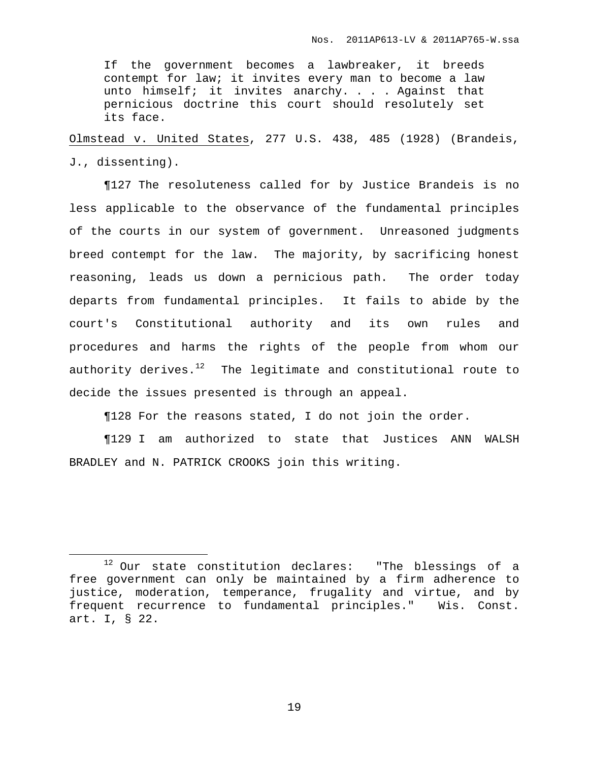If the government becomes a lawbreaker, it breeds contempt for law; it invites every man to become a law unto himself; it invites anarchy. . . . Against that pernicious doctrine this court should resolutely set its face.

Olmstead v. United States, 277 U.S. 438, 485 (1928) (Brandeis, J., dissenting).

¶127 The resoluteness called for by Justice Brandeis is no less applicable to the observance of the fundamental principles of the courts in our system of government. Unreasoned judgments breed contempt for the law. The majority, by sacrificing honest reasoning, leads us down a pernicious path. The order today departs from fundamental principles. It fails to abide by the court's Constitutional authority and its own rules and procedures and harms the rights of the people from whom our authority derives. $^{12}$  The legitimate and constitutional route to decide the issues presented is through an appeal.

¶128 For the reasons stated, I do not join the order.

¶129 I am authorized to state that Justices ANN WALSH BRADLEY and N. PATRICK CROOKS join this writing.

 $12$  Our state constitution declares: "The blessings of a free government can only be maintained by a firm adherence to justice, moderation, temperance, frugality and virtue, and by frequent recurrence to fundamental principles." Wis. Const. art. I, § 22.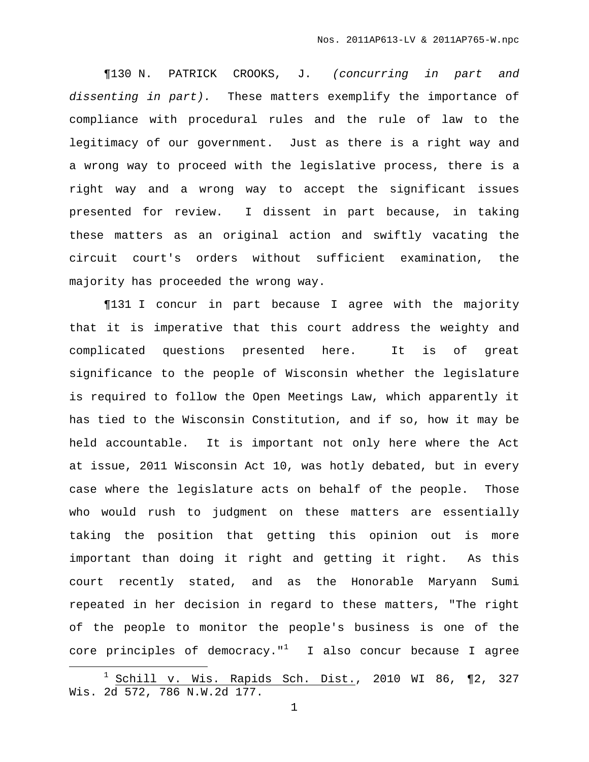¶130 N. PATRICK CROOKS, J. (concurring in part and dissenting in part). These matters exemplify the importance of compliance with procedural rules and the rule of law to the legitimacy of our government. Just as there is a right way and a wrong way to proceed with the legislative process, there is a right way and a wrong way to accept the significant issues presented for review. I dissent in part because, in taking these matters as an original action and swiftly vacating the circuit court's orders without sufficient examination, the majority has proceeded the wrong way.

¶131 I concur in part because I agree with the majority that it is imperative that this court address the weighty and complicated questions presented here. It is of great significance to the people of Wisconsin whether the legislature is required to follow the Open Meetings Law, which apparently it has tied to the Wisconsin Constitution, and if so, how it may be held accountable. It is important not only here where the Act at issue, 2011 Wisconsin Act 10, was hotly debated, but in every case where the legislature acts on behalf of the people. Those who would rush to judgment on these matters are essentially taking the position that getting this opinion out is more important than doing it right and getting it right. As this court recently stated, and as the Honorable Maryann Sumi repeated in her decision in regard to these matters, "The right of the people to monitor the people's business is one of the core principles of democracy." $1$  I also concur because I agree

<sup>1</sup> Schill v. Wis. Rapids Sch. Dist., 2010 WI 86, ¶2, 327 Wis. 2d 572, 786 N.W.2d 177.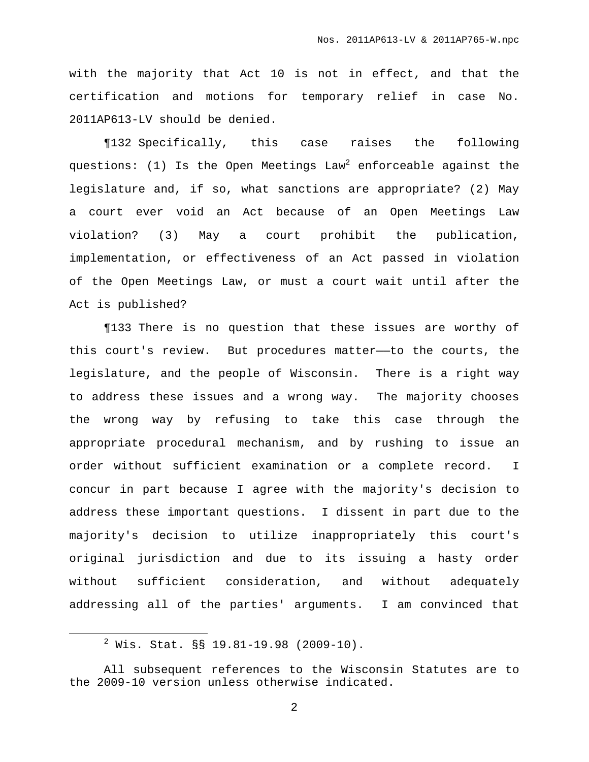with the majority that Act 10 is not in effect, and that the certification and motions for temporary relief in case No. 2011AP613-LV should be denied.

¶132 Specifically, this case raises the following questions: (1) Is the Open Meetings Law $^2$  enforceable against the legislature and, if so, what sanctions are appropriate? (2) May a court ever void an Act because of an Open Meetings Law violation? (3) May a court prohibit the publication, implementation, or effectiveness of an Act passed in violation of the Open Meetings Law, or must a court wait until after the Act is published?

¶133 There is no question that these issues are worthy of this court's review. But procedures matter——to the courts, the legislature, and the people of Wisconsin. There is a right way to address these issues and a wrong way. The majority chooses the wrong way by refusing to take this case through the appropriate procedural mechanism, and by rushing to issue an order without sufficient examination or a complete record. I concur in part because I agree with the majority's decision to address these important questions. I dissent in part due to the majority's decision to utilize inappropriately this court's original jurisdiction and due to its issuing a hasty order without sufficient consideration, and without adequately addressing all of the parties' arguments. I am convinced that

 $2$  Wis. Stat. §§ 19.81-19.98 (2009-10).

All subsequent references to the Wisconsin Statutes are to the 2009-10 version unless otherwise indicated.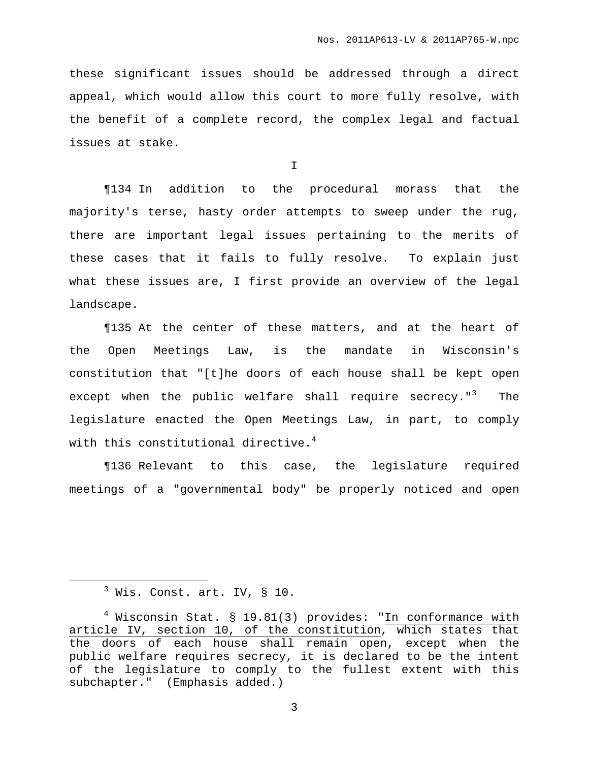these significant issues should be addressed through a direct appeal, which would allow this court to more fully resolve, with the benefit of a complete record, the complex legal and factual issues at stake.

I

¶134 In addition to the procedural morass that the majority's terse, hasty order attempts to sweep under the rug, there are important legal issues pertaining to the merits of these cases that it fails to fully resolve. To explain just what these issues are, I first provide an overview of the legal landscape.

¶135 At the center of these matters, and at the heart of the Open Meetings Law, is the mandate in Wisconsin's constitution that "[t]he doors of each house shall be kept open except when the public welfare shall require secrecy."<sup>3</sup> The legislature enacted the Open Meetings Law, in part, to comply with this constitutional directive. 4

¶136 Relevant to this case, the legislature required meetings of a "governmental body" be properly noticed and open

 $3$  Wis. Const. art. IV, § 10.

 $4$  Wisconsin Stat. § 19.81(3) provides: "In conformance with article IV, section 10, of the constitution, which states that the doors of each house shall remain open, except when the public welfare requires secrecy, it is declared to be the intent of the legislature to comply to the fullest extent with this subchapter." (Emphasis added.)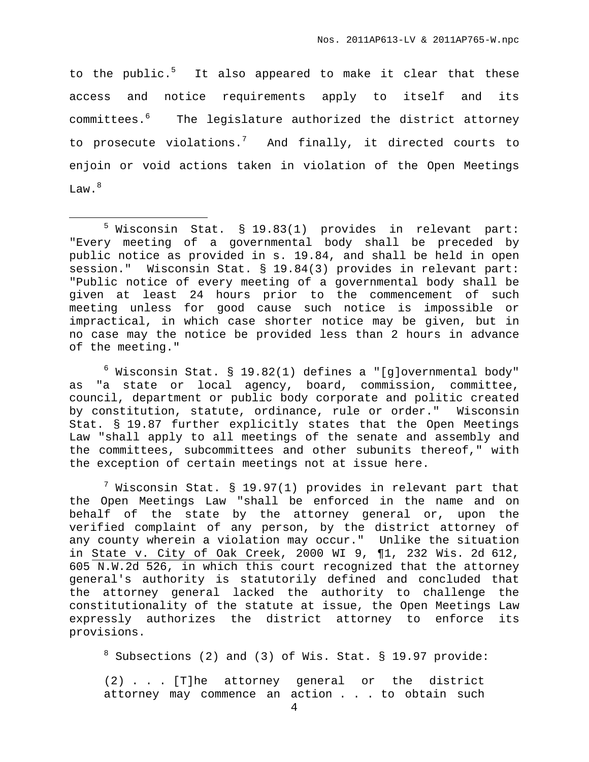to the public.<sup>5</sup> It also appeared to make it clear that these access and notice requirements apply to itself and its committees. <sup>6</sup> The legislature authorized the district attorney to prosecute violations.<sup>7</sup> And finally, it directed courts to enjoin or void actions taken in violation of the Open Meetings Law. $^8$ 

 $6$  Wisconsin Stat. § 19.82(1) defines a "[g]overnmental body" as "a state or local agency, board, commission, committee, council, department or public body corporate and politic created by constitution, statute, ordinance, rule or order." Wisconsin Stat. § 19.87 further explicitly states that the Open Meetings Law "shall apply to all meetings of the senate and assembly and the committees, subcommittees and other subunits thereof," with the exception of certain meetings not at issue here.

 $^7$  Wisconsin Stat. § 19.97(1) provides in relevant part that the Open Meetings Law "shall be enforced in the name and on behalf of the state by the attorney general or, upon the verified complaint of any person, by the district attorney of any county wherein a violation may occur." Unlike the situation in State v. City of Oak Creek, 2000 WI 9, ¶1, 232 Wis. 2d 612, 605 N.W.2d 526, in which this court recognized that the attorney general's authority is statutorily defined and concluded that the attorney general lacked the authority to challenge the constitutionality of the statute at issue, the Open Meetings Law expressly authorizes the district attorney to enforce its provisions.

 $8$  Subsections (2) and (3) of Wis. Stat. § 19.97 provide:

(2) . . . [T]he attorney general or the district attorney may commence an action . . . to obtain such

<sup>5</sup> Wisconsin Stat. § 19.83(1) provides in relevant part: "Every meeting of a governmental body shall be preceded by public notice as provided in s. 19.84, and shall be held in open session." Wisconsin Stat. § 19.84(3) provides in relevant part: "Public notice of every meeting of a governmental body shall be given at least 24 hours prior to the commencement of such meeting unless for good cause such notice is impossible or impractical, in which case shorter notice may be given, but in no case may the notice be provided less than 2 hours in advance of the meeting."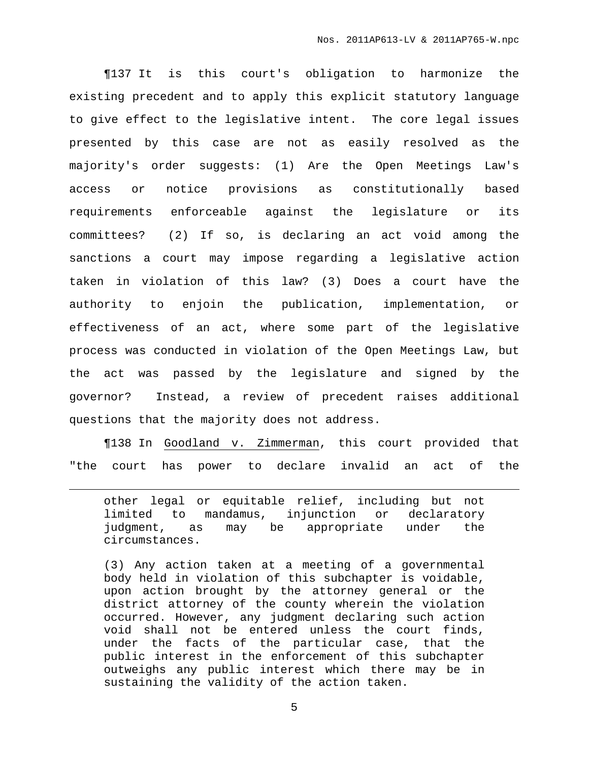¶137 It is this court's obligation to harmonize the existing precedent and to apply this explicit statutory language to give effect to the legislative intent. The core legal issues presented by this case are not as easily resolved as the majority's order suggests: (1) Are the Open Meetings Law's access or notice provisions as constitutionally based requirements enforceable against the legislature or its committees? (2) If so, is declaring an act void among the sanctions a court may impose regarding a legislative action taken in violation of this law? (3) Does a court have the authority to enjoin the publication, implementation, or effectiveness of an act, where some part of the legislative process was conducted in violation of the Open Meetings Law, but the act was passed by the legislature and signed by the governor? Instead, a review of precedent raises additional questions that the majority does not address.

¶138 In Goodland v. Zimmerman, this court provided that "the court has power to declare invalid an act of the

other legal or equitable relief, including but not limited to mandamus, injunction or declaratory judgment, as may be appropriate under the circumstances.

(3) Any action taken at a meeting of a governmental body held in violation of this subchapter is voidable, upon action brought by the attorney general or the district attorney of the county wherein the violation occurred. However, any judgment declaring such action void shall not be entered unless the court finds, under the facts of the particular case, that the public interest in the enforcement of this subchapter outweighs any public interest which there may be in sustaining the validity of the action taken.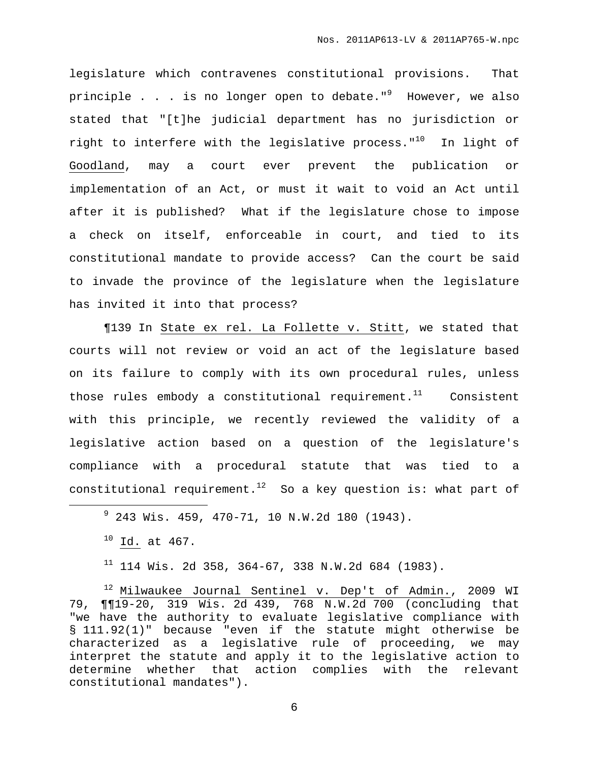legislature which contravenes constitutional provisions. That principle . . . is no longer open to debate."<sup>9</sup> However, we also stated that "[t]he judicial department has no jurisdiction or right to interfere with the legislative process."<sup>10</sup> In light of Goodland, may a court ever prevent the publication or implementation of an Act, or must it wait to void an Act until after it is published? What if the legislature chose to impose a check on itself, enforceable in court, and tied to its constitutional mandate to provide access? Can the court be said to invade the province of the legislature when the legislature has invited it into that process?

¶139 In State ex rel. La Follette v. Stitt, we stated that courts will not review or void an act of the legislature based on its failure to comply with its own procedural rules, unless those rules embody a constitutional requirement.<sup>11</sup> Consistent with this principle, we recently reviewed the validity of a legislative action based on a question of the legislature's compliance with a procedural statute that was tied to a constitutional requirement.<sup>12</sup> So a key question is: what part of

<sup>12</sup> Milwaukee Journal Sentinel v. Dep't of Admin., 2009 WI 79, ¶¶19-20, 319 Wis. 2d 439, 768 N.W.2d 700 (concluding that "we have the authority to evaluate legislative compliance with § 111.92(1)" because "even if the statute might otherwise be characterized as a legislative rule of proceeding, we may interpret the statute and apply it to the legislative action to determine whether that action complies with the relevant constitutional mandates").

 $9$  243 Wis. 459, 470-71, 10 N.W.2d 180 (1943).

 $10$  Id. at 467.

 $11$  114 Wis. 2d 358, 364-67, 338 N.W.2d 684 (1983).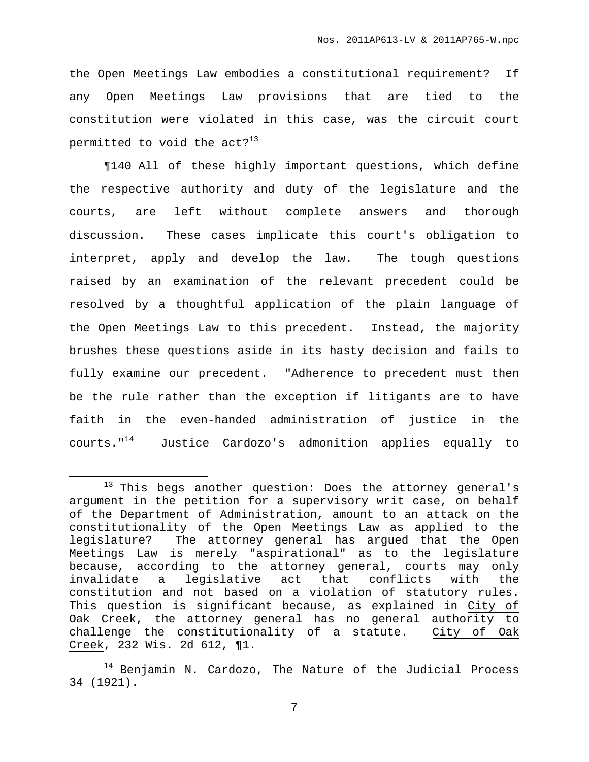the Open Meetings Law embodies a constitutional requirement? If any Open Meetings Law provisions that are tied to the constitution were violated in this case, was the circuit court permitted to void the act? $^{13}$ 

¶140 All of these highly important questions, which define the respective authority and duty of the legislature and the courts, are left without complete answers and thorough discussion. These cases implicate this court's obligation to interpret, apply and develop the law. The tough questions raised by an examination of the relevant precedent could be resolved by a thoughtful application of the plain language of the Open Meetings Law to this precedent. Instead, the majority brushes these questions aside in its hasty decision and fails to fully examine our precedent. "Adherence to precedent must then be the rule rather than the exception if litigants are to have faith in the even-handed administration of justice in the courts." <sup>14</sup> Justice Cardozo's admonition applies equally to

<sup>&</sup>lt;sup>13</sup> This begs another question: Does the attorney general's argument in the petition for a supervisory writ case, on behalf of the Department of Administration, amount to an attack on the constitutionality of the Open Meetings Law as applied to the legislature? The attorney general has argued that the Open Meetings Law is merely "aspirational" as to the legislature because, according to the attorney general, courts may only invalidate a legislative act that conflicts with the constitution and not based on a violation of statutory rules. This question is significant because, as explained in City of Oak Creek, the attorney general has no general authority to challenge the constitutionality of a statute. City of Oak Creek, 232 Wis. 2d 612, ¶1.

<sup>&</sup>lt;sup>14</sup> Benjamin N. Cardozo, The Nature of the Judicial Process 34 (1921).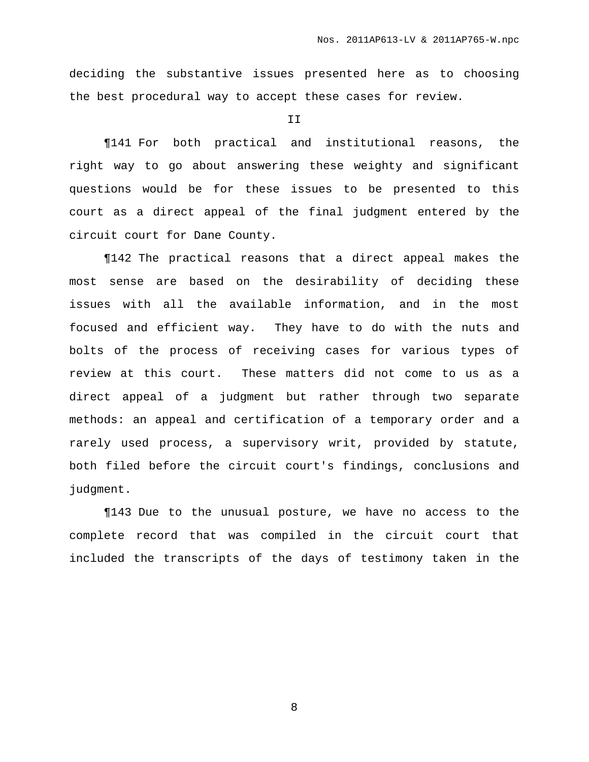deciding the substantive issues presented here as to choosing the best procedural way to accept these cases for review.

T<sub>T</sub>

¶141 For both practical and institutional reasons, the right way to go about answering these weighty and significant questions would be for these issues to be presented to this court as a direct appeal of the final judgment entered by the circuit court for Dane County.

¶142 The practical reasons that a direct appeal makes the most sense are based on the desirability of deciding these issues with all the available information, and in the most focused and efficient way. They have to do with the nuts and bolts of the process of receiving cases for various types of review at this court. These matters did not come to us as a direct appeal of a judgment but rather through two separate methods: an appeal and certification of a temporary order and a rarely used process, a supervisory writ, provided by statute, both filed before the circuit court's findings, conclusions and judgment.

¶143 Due to the unusual posture, we have no access to the complete record that was compiled in the circuit court that included the transcripts of the days of testimony taken in the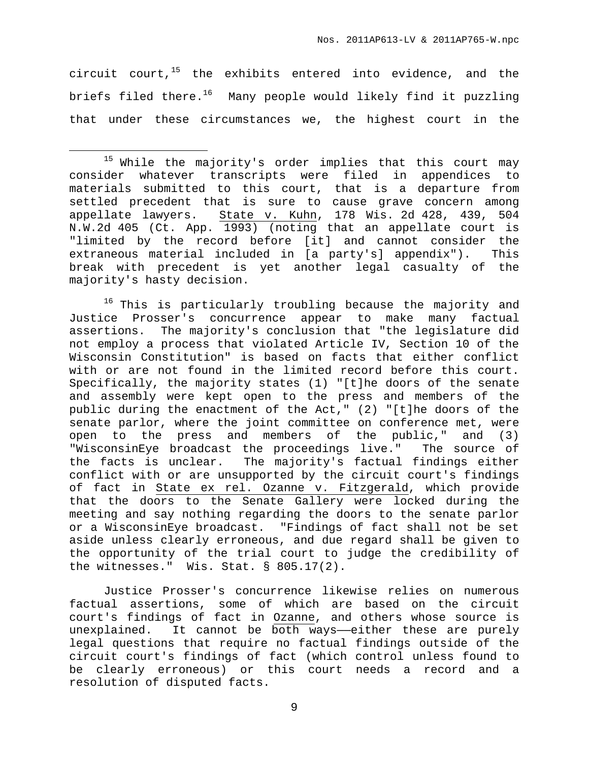circuit court,<sup>15</sup> the exhibits entered into evidence, and the briefs filed there.<sup>16</sup> Many people would likely find it puzzling that under these circumstances we, the highest court in the

<sup>16</sup> This is particularly troubling because the majority and Justice Prosser's concurrence appear to make many factual assertions. The majority's conclusion that "the legislature did not employ a process that violated Article IV, Section 10 of the Wisconsin Constitution" is based on facts that either conflict with or are not found in the limited record before this court. Specifically, the majority states (1) "[t]he doors of the senate and assembly were kept open to the press and members of the public during the enactment of the Act," (2) "[t]he doors of the senate parlor, where the joint committee on conference met, were open to the press and members of the public," and (3) "WisconsinEye broadcast the proceedings live." The source of the facts is unclear. The majority's factual findings either conflict with or are unsupported by the circuit court's findings of fact in State ex rel. Ozanne v. Fitzgerald, which provide that the doors to the Senate Gallery were locked during the meeting and say nothing regarding the doors to the senate parlor or a WisconsinEye broadcast. "Findings of fact shall not be set aside unless clearly erroneous, and due regard shall be given to the opportunity of the trial court to judge the credibility of the witnesses." Wis. Stat. § 805.17(2).

Justice Prosser's concurrence likewise relies on numerous factual assertions, some of which are based on the circuit court's findings of fact in Ozanne, and others whose source is unexplained. It cannot be both ways—either these are purely legal questions that require no factual findings outside of the circuit court's findings of fact (which control unless found to be clearly erroneous) or this court needs a record and a resolution of disputed facts.

<sup>&</sup>lt;sup>15</sup> While the majority's order implies that this court may consider whatever transcripts were filed in appendices to materials submitted to this court, that is a departure from settled precedent that is sure to cause grave concern among appellate lawyers. State v. Kuhn, 178 Wis. 2d 428, 439, 504 N.W.2d 405 (Ct. App. 1993) (noting that an appellate court is "limited by the record before [it] and cannot consider the extraneous material included in [a party's] appendix"). This break with precedent is yet another legal casualty of the majority's hasty decision.

<sup>9</sup>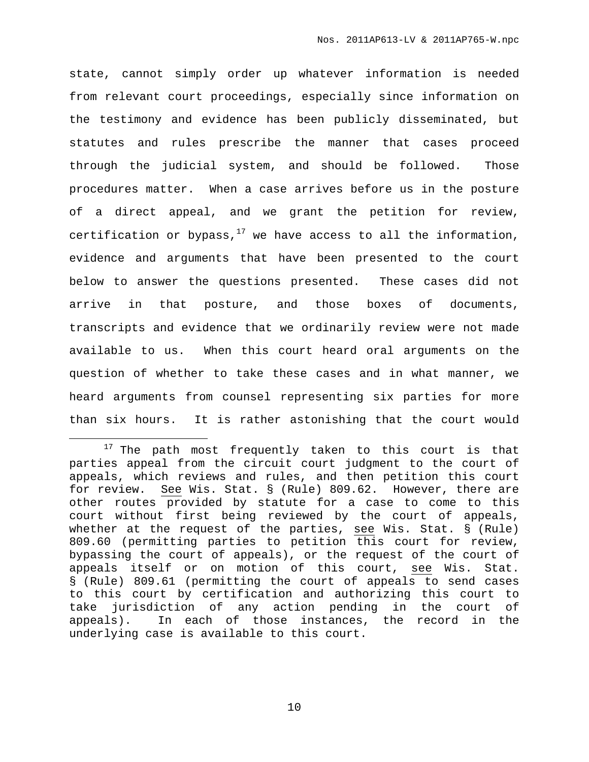state, cannot simply order up whatever information is needed from relevant court proceedings, especially since information on the testimony and evidence has been publicly disseminated, but statutes and rules prescribe the manner that cases proceed through the judicial system, and should be followed. Those procedures matter. When a case arrives before us in the posture of a direct appeal, and we grant the petition for review, certification or bypass, $^{17}$  we have access to all the information, evidence and arguments that have been presented to the court below to answer the questions presented. These cases did not arrive in that posture, and those boxes of documents, transcripts and evidence that we ordinarily review were not made available to us. When this court heard oral arguments on the question of whether to take these cases and in what manner, we heard arguments from counsel representing six parties for more than six hours. It is rather astonishing that the court would

<sup>&</sup>lt;sup>17</sup> The path most frequently taken to this court is that parties appeal from the circuit court judgment to the court of appeals, which reviews and rules, and then petition this court for review. See Wis. Stat. § (Rule) 809.62. However, there are other routes provided by statute for a case to come to this court without first being reviewed by the court of appeals, whether at the request of the parties, see Wis. Stat. § (Rule) 809.60 (permitting parties to petition this court for review, bypassing the court of appeals), or the request of the court of appeals itself or on motion of this court, see Wis. Stat. § (Rule) 809.61 (permitting the court of appeals to send cases to this court by certification and authorizing this court to take jurisdiction of any action pending in the court of appeals). In each of those instances, the record in the underlying case is available to this court.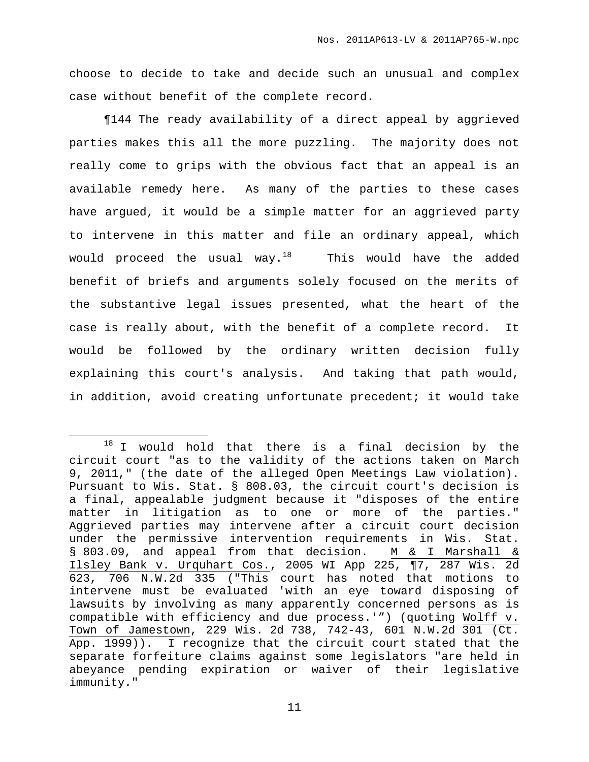choose to decide to take and decide such an unusual and complex case without benefit of the complete record.

¶144 The ready availability of a direct appeal by aggrieved parties makes this all the more puzzling. The majority does not really come to grips with the obvious fact that an appeal is an available remedy here. As many of the parties to these cases have argued, it would be a simple matter for an aggrieved party to intervene in this matter and file an ordinary appeal, which would proceed the usual way. $^{18}$   $\quad$  This would have the added benefit of briefs and arguments solely focused on the merits of the substantive legal issues presented, what the heart of the case is really about, with the benefit of a complete record. It would be followed by the ordinary written decision fully explaining this court's analysis. And taking that path would, in addition, avoid creating unfortunate precedent; it would take

 $18$  I would hold that there is a final decision by the circuit court "as to the validity of the actions taken on March 9, 2011," (the date of the alleged Open Meetings Law violation). Pursuant to Wis. Stat. § 808.03, the circuit court's decision is a final, appealable judgment because it "disposes of the entire matter in litigation as to one or more of the parties." Aggrieved parties may intervene after a circuit court decision under the permissive intervention requirements in Wis. Stat. § 803.09, and appeal from that decision. M & I Marshall & Ilsley Bank v. Urquhart Cos., 2005 WI App 225, ¶7, 287 Wis. 2d 623, 706 N.W.2d 335 ("This court has noted that motions to intervene must be evaluated 'with an eye toward disposing of lawsuits by involving as many apparently concerned persons as is compatible with efficiency and due process.'") (quoting Wolff v. Town of Jamestown, 229 Wis. 2d 738, 742-43, 601 N.W.2d 301 (Ct. App. 1999)). I recognize that the circuit court stated that the separate forfeiture claims against some legislators "are held in abeyance pending expiration or waiver of their legislative immunity."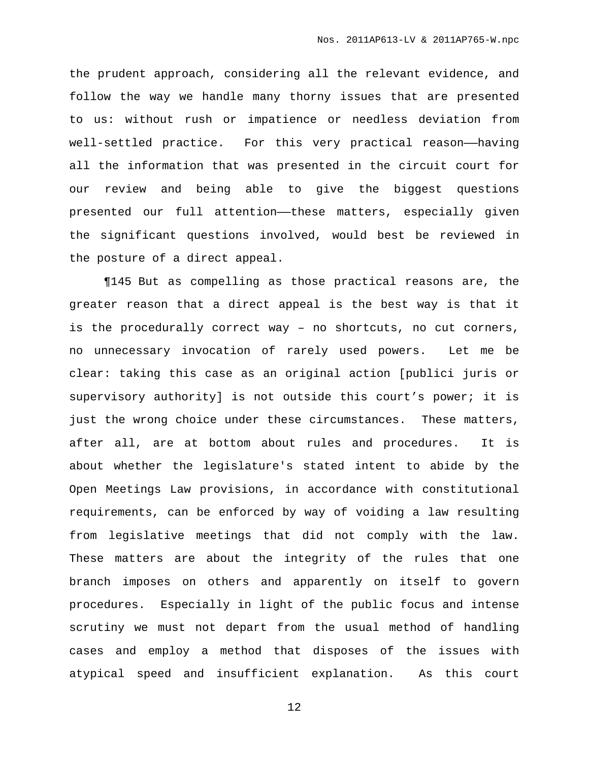the prudent approach, considering all the relevant evidence, and follow the way we handle many thorny issues that are presented to us: without rush or impatience or needless deviation from well-settled practice. For this very practical reason-having all the information that was presented in the circuit court for our review and being able to give the biggest questions presented our full attention——these matters, especially given the significant questions involved, would best be reviewed in the posture of a direct appeal.

¶145 But as compelling as those practical reasons are, the greater reason that a direct appeal is the best way is that it is the procedurally correct way – no shortcuts, no cut corners, no unnecessary invocation of rarely used powers. Let me be clear: taking this case as an original action [publici juris or supervisory authority] is not outside this court's power; it is just the wrong choice under these circumstances. These matters, after all, are at bottom about rules and procedures. It is about whether the legislature's stated intent to abide by the Open Meetings Law provisions, in accordance with constitutional requirements, can be enforced by way of voiding a law resulting from legislative meetings that did not comply with the law. These matters are about the integrity of the rules that one branch imposes on others and apparently on itself to govern procedures. Especially in light of the public focus and intense scrutiny we must not depart from the usual method of handling cases and employ a method that disposes of the issues with atypical speed and insufficient explanation. As this court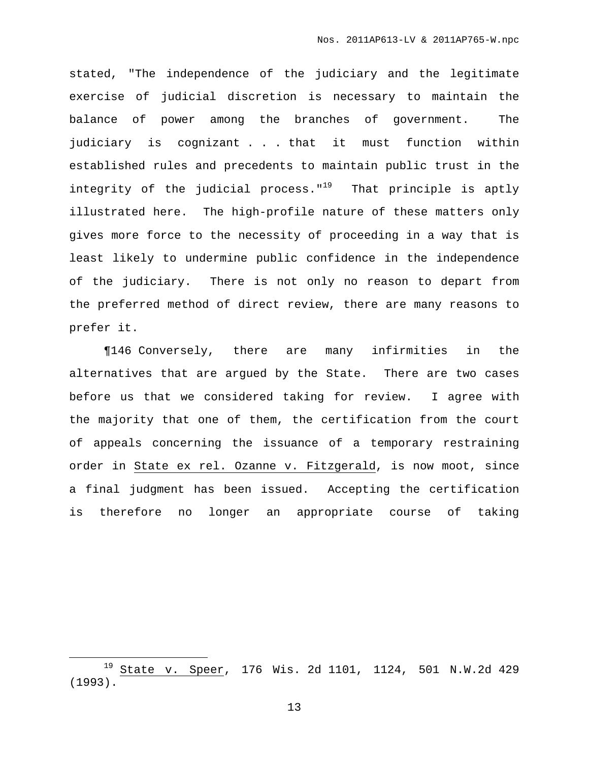stated, "The independence of the judiciary and the legitimate exercise of judicial discretion is necessary to maintain the balance of power among the branches of government. The judiciary is cognizant . . . that it must function within established rules and precedents to maintain public trust in the integrity of the judicial process."<sup>19</sup> That principle is aptly illustrated here. The high-profile nature of these matters only gives more force to the necessity of proceeding in a way that is least likely to undermine public confidence in the independence of the judiciary. There is not only no reason to depart from the preferred method of direct review, there are many reasons to prefer it.

¶146 Conversely, there are many infirmities in the alternatives that are argued by the State. There are two cases before us that we considered taking for review. I agree with the majority that one of them, the certification from the court of appeals concerning the issuance of a temporary restraining order in State ex rel. Ozanne v. Fitzgerald, is now moot, since a final judgment has been issued. Accepting the certification is therefore no longer an appropriate course of taking

<sup>19</sup> State v. Speer, 176 Wis. 2d 1101, 1124, 501 N.W.2d 429 (1993).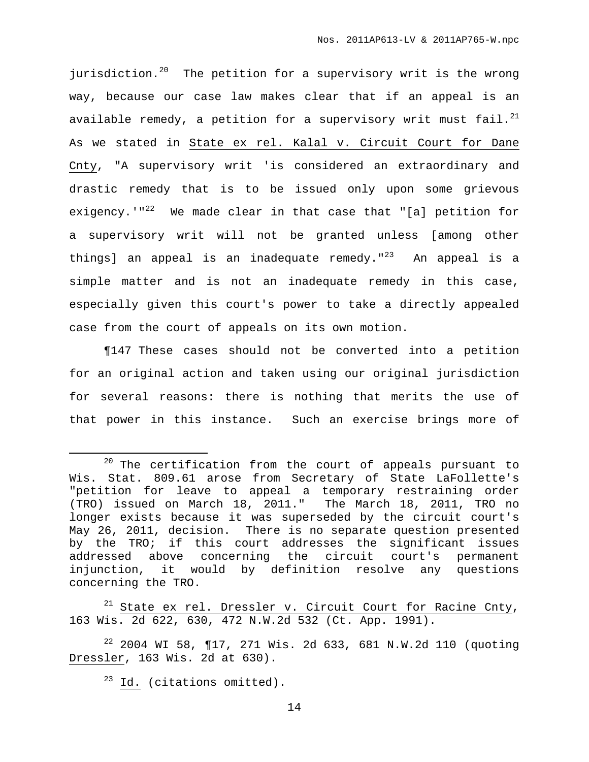jurisdiction.<sup>20</sup> The petition for a supervisory writ is the wrong way, because our case law makes clear that if an appeal is an available remedy, a petition for a supervisory writ must fail. $^{21}$ As we stated in State ex rel. Kalal v. Circuit Court for Dane Cnty, "A supervisory writ 'is considered an extraordinary and drastic remedy that is to be issued only upon some grievous exigency.'"<sup>22</sup> We made clear in that case that "[a] petition for a supervisory writ will not be granted unless [among other things] an appeal is an inadequate remedy."<sup>23</sup> An appeal is a simple matter and is not an inadequate remedy in this case, especially given this court's power to take a directly appealed case from the court of appeals on its own motion.

¶147 These cases should not be converted into a petition for an original action and taken using our original jurisdiction for several reasons: there is nothing that merits the use of that power in this instance. Such an exercise brings more of

 $21$  State ex rel. Dressler v. Circuit Court for Racine Cnty, 163 Wis. 2d 622, 630, 472 N.W.2d 532 (Ct. App. 1991).

<sup>22</sup> 2004 WI 58, ¶17, 271 Wis. 2d 633, 681 N.W.2d 110 (quoting Dressler, 163 Wis. 2d at 630).

 $23$  Id. (citations omitted).

 $20$  The certification from the court of appeals pursuant to Wis. Stat. 809.61 arose from Secretary of State LaFollette's "petition for leave to appeal a temporary restraining order (TRO) issued on March 18, 2011." The March 18, 2011, TRO no longer exists because it was superseded by the circuit court's May 26, 2011, decision. There is no separate question presented by the TRO; if this court addresses the significant issues addressed above concerning the circuit court's permanent injunction, it would by definition resolve any questions concerning the TRO.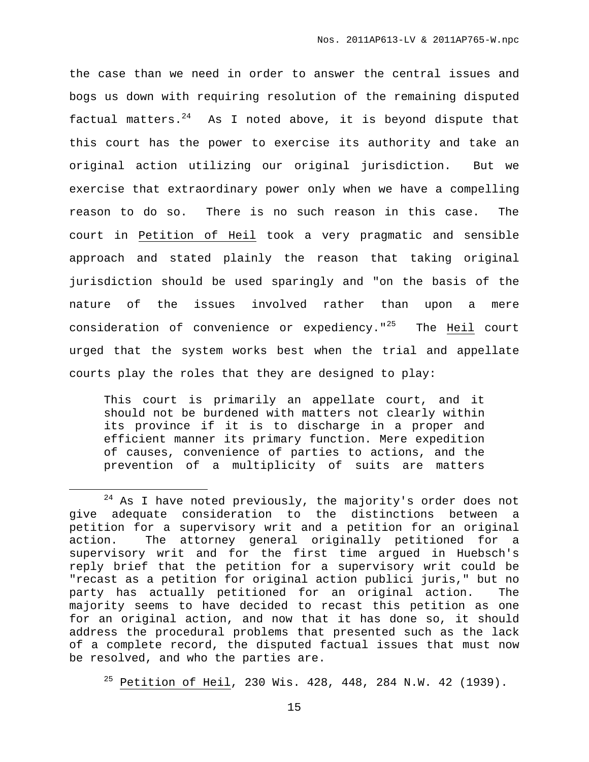the case than we need in order to answer the central issues and bogs us down with requiring resolution of the remaining disputed factual matters.<sup>24</sup> As I noted above, it is beyond dispute that this court has the power to exercise its authority and take an original action utilizing our original jurisdiction. But we exercise that extraordinary power only when we have a compelling reason to do so. There is no such reason in this case. The court in Petition of Heil took a very pragmatic and sensible approach and stated plainly the reason that taking original jurisdiction should be used sparingly and "on the basis of the nature of the issues involved rather than upon a mere consideration of convenience or expediency."<sup>25</sup> The Heil court urged that the system works best when the trial and appellate courts play the roles that they are designed to play:

This court is primarily an appellate court, and it should not be burdened with matters not clearly within its province if it is to discharge in a proper and efficient manner its primary function. Mere expedition of causes, convenience of parties to actions, and the prevention of a multiplicity of suits are matters

 $24$  As I have noted previously, the majority's order does not give adequate consideration to the distinctions between a petition for a supervisory writ and a petition for an original action. The attorney general originally petitioned for a supervisory writ and for the first time argued in Huebsch's reply brief that the petition for a supervisory writ could be "recast as a petition for original action publici juris," but no party has actually petitioned for an original action. The majority seems to have decided to recast this petition as one for an original action, and now that it has done so, it should address the procedural problems that presented such as the lack of a complete record, the disputed factual issues that must now be resolved, and who the parties are.

 $25$  Petition of Heil, 230 Wis. 428, 448, 284 N.W. 42 (1939).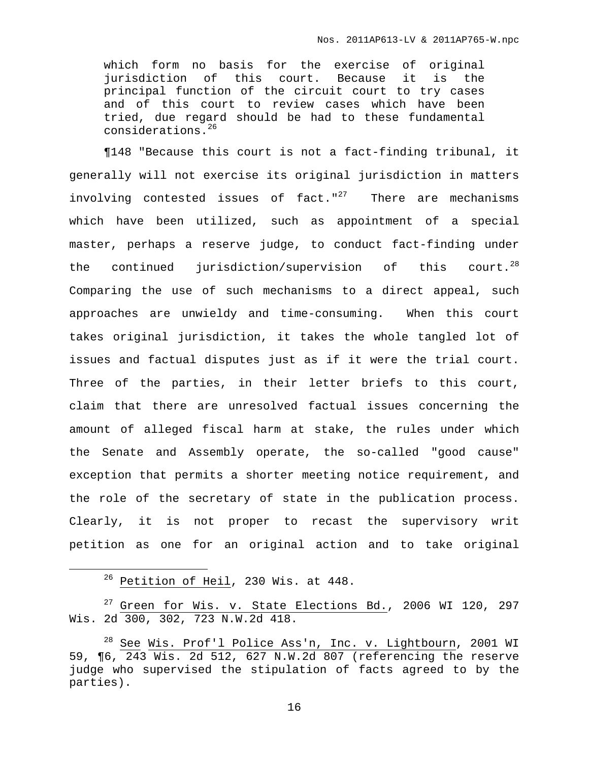which form no basis for the exercise of original jurisdiction of this court. Because it is the principal function of the circuit court to try cases and of this court to review cases which have been tried, due regard should be had to these fundamental considerations. 26

¶148 "Because this court is not a fact-finding tribunal, it generally will not exercise its original jurisdiction in matters involving contested issues of fact."<sup>27</sup> There are mechanisms which have been utilized, such as appointment of a special master, perhaps a reserve judge, to conduct fact-finding under the continued jurisdiction/supervision of this court.<sup>28</sup> Comparing the use of such mechanisms to a direct appeal, such approaches are unwieldy and time-consuming. When this court takes original jurisdiction, it takes the whole tangled lot of issues and factual disputes just as if it were the trial court. Three of the parties, in their letter briefs to this court, claim that there are unresolved factual issues concerning the amount of alleged fiscal harm at stake, the rules under which the Senate and Assembly operate, the so-called "good cause" exception that permits a shorter meeting notice requirement, and the role of the secretary of state in the publication process. Clearly, it is not proper to recast the supervisory writ petition as one for an original action and to take original

<sup>26</sup> Petition of Heil, 230 Wis. at 448.

 $27$  Green for Wis. v. State Elections Bd., 2006 WI 120, 297 Wis. 2d 300, 302, 723 N.W.2d 418.

<sup>&</sup>lt;sup>28</sup> See Wis. Prof'l Police Ass'n, Inc. v. Lightbourn, 2001 WI 59, ¶6, 243 Wis. 2d 512, 627 N.W.2d 807 (referencing the reserve judge who supervised the stipulation of facts agreed to by the parties).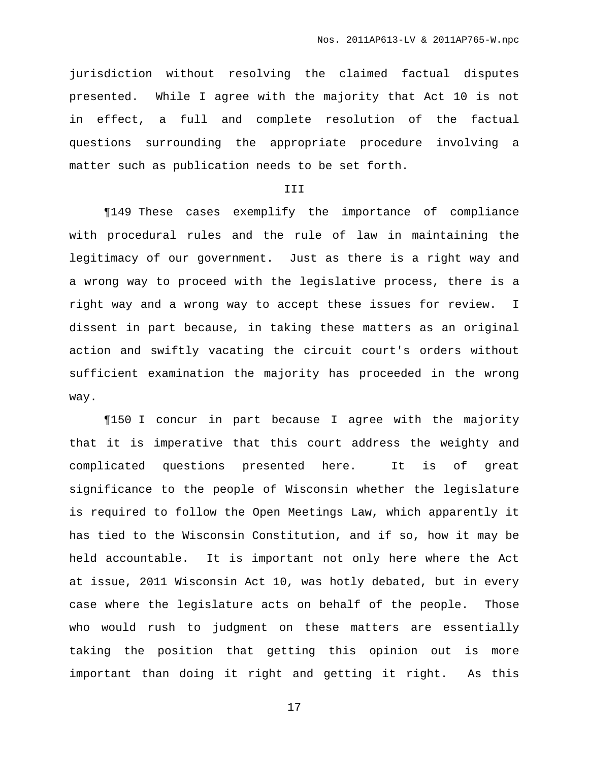jurisdiction without resolving the claimed factual disputes presented. While I agree with the majority that Act 10 is not in effect, a full and complete resolution of the factual questions surrounding the appropriate procedure involving a matter such as publication needs to be set forth.

### III

¶149 These cases exemplify the importance of compliance with procedural rules and the rule of law in maintaining the legitimacy of our government. Just as there is a right way and a wrong way to proceed with the legislative process, there is a right way and a wrong way to accept these issues for review. I dissent in part because, in taking these matters as an original action and swiftly vacating the circuit court's orders without sufficient examination the majority has proceeded in the wrong way.

¶150 I concur in part because I agree with the majority that it is imperative that this court address the weighty and complicated questions presented here. It is of great significance to the people of Wisconsin whether the legislature is required to follow the Open Meetings Law, which apparently it has tied to the Wisconsin Constitution, and if so, how it may be held accountable. It is important not only here where the Act at issue, 2011 Wisconsin Act 10, was hotly debated, but in every case where the legislature acts on behalf of the people. Those who would rush to judgment on these matters are essentially taking the position that getting this opinion out is more important than doing it right and getting it right. As this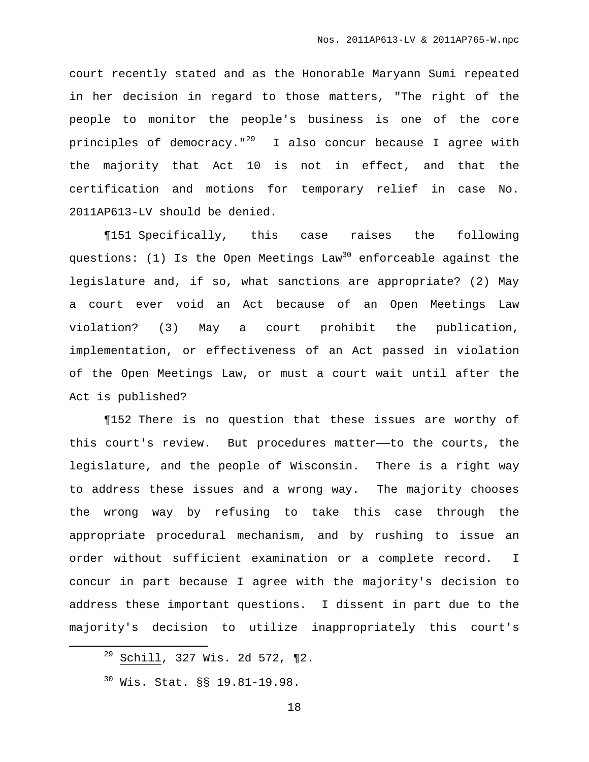court recently stated and as the Honorable Maryann Sumi repeated in her decision in regard to those matters, "The right of the people to monitor the people's business is one of the core principles of democracy."<sup>29</sup> I also concur because I agree with the majority that Act 10 is not in effect, and that the certification and motions for temporary relief in case No. 2011AP613-LV should be denied.

¶151 Specifically, this case raises the following questions: (1) Is the Open Meetings Law <sup>30</sup> enforceable against the legislature and, if so, what sanctions are appropriate? (2) May a court ever void an Act because of an Open Meetings Law violation? (3) May a court prohibit the publication, implementation, or effectiveness of an Act passed in violation of the Open Meetings Law, or must a court wait until after the Act is published?

¶152 There is no question that these issues are worthy of this court's review. But procedures matter——to the courts, the legislature, and the people of Wisconsin. There is a right way to address these issues and a wrong way. The majority chooses the wrong way by refusing to take this case through the appropriate procedural mechanism, and by rushing to issue an order without sufficient examination or a complete record. I concur in part because I agree with the majority's decision to address these important questions. I dissent in part due to the majority's decision to utilize inappropriately this court's

 $29$  Schill, 327 Wis. 2d 572,  $\P2$ .

<sup>30</sup> Wis. Stat. §§ 19.81-19.98.